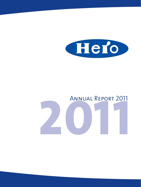

# **2011** Annual Report 2011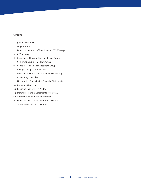#### **Contents**

- 2 5-Year Key Figures
- 3 Organization
- 4 Report of the Board of Directors and CEO Message
- 6 CFO Message
- 8 Consolidated Income Statement Hero Group
- 9 Comprehensive Income Hero Group
- 10 Consolidated Balance Sheet Hero Group
- 12 Changes in Equity Hero Group
- 13 Consolidated Cash Flow Statement Hero Group
- 14 Accounting Principles
- 33 Notes to the Consolidated Financial Statements
- 63 Corporate Governance
- 64 Report of the Statutory Auditor
- 65 Statutory Financial Statements of Hero AG
- 70 Appropriation of Available Earnings
- 71 Report of the Statutory Auditors of Hero AG
- 72 Subsidiaries and Participations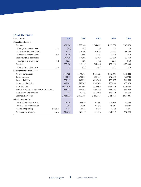# **5-Year Key Figures**

| in CHF 1000.-                               |        | 2011          | 2010     | 2009      | 2008      | 2007      |
|---------------------------------------------|--------|---------------|----------|-----------|-----------|-----------|
| <b>Consolidated results</b>                 |        |               |          |           |           |           |
| Net sales                                   |        | 1431100       | 1665242  | 1784 630  | 1919 031  | 1875 179  |
| Change to previous year                     | in %   | (14.1)        | (6.7)    | (7.0)     | 2.3       | 7.6       |
| Net income (equity holders)                 |        | 4 2 8 7       | 143 130  | 23 9 36   | 27 374    | 98 602    |
| Change to previous year                     | in %   | (97.0)        | 498.0    | (12.6)    | (72.2)    | 18.7      |
| Cash flow from operations                   |        | (20 490)      | 68 988   | 40 10 8   | 139 057   | 92 3 63   |
| Change to previous year                     | in %   | (129.7)       | 72.0     | (71.2)    | 50.6      | (17.0)    |
| Net debt                                    |        | 375 128       | 319 125  | 347856    | 487939    | 360884    |
| Change to previous year                     | in %   | 17.5          | (8.3)    | (28.7)    | 35.2      | (23.3)    |
| Consolidated balance sheet                  |        |               |          |           |           |           |
| Non-current assets                          |        | 1343489       | 1393 263 | 1474 631  | 1418 074  | 1375 222  |
| Current assets                              |        | 700 833       | 673 034  | 955 845   | 747 670   | 662 113   |
| <b>Current liabilities</b>                  |        | 601927        | 538 293  | 664 966   | 703 427   | 746 835   |
| Long-term liabilities                       |        | 456382        | 543 703  | 695 000   | 755 693   | 473 379   |
| <b>Total liabilities</b>                    |        | 1058 309      | 1081996  | 1359966   | 1459120   | 1220 214  |
| Equity attributable to owners of the parent |        | 963 252       | 954 563  | 906 850   | 543 394   | 633 452   |
| Non-controlling interests                   |        | 22 761        | 29738    | 163 660   | 163 230   | 183 670   |
| Balance sheet total                         |        | 2 0 4 4 3 2 2 | 2066297  | 2 430 476 | 2 165 744 | 2 037 335 |
| Miscellaneous data                          |        |               |          |           |           |           |
| Consolidated investments                    |        | 67 901        | 115 629  | 117 281   | 108 525   | 56 895    |
| Consolidated depreciation                   |        | 26 984        | 28 841   | 32729     | 34 3 25   | 35 0 93   |
| Headcount (Heads)                           | Number | 4 1 4 4       | 3 9 5 2  | 4 0 13    | 4 1 4 8   | 4 3 7 5   |
| Net sales per employee                      | in CHF | 345 343       | 421 3 67 | 444 712   | 462 640   | 445 834   |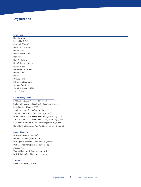# **Organization**

## **Companies** Hero Schweiz Beech-Nut (USA) Cap' Fruit (France) Hero Czech + Slovakia Hero España Hero Huishan (China) Hero Italia Hero Nederland Hero Polska + Hungary Hero Portugal Hero Russia + Ukraine Hero Turkey Hero UK Organix (UK) Schwartau (Germany) Semper (Sweden) Signature Brands (USA)

#### **Group Management**

Vitrac (Egypt)

Peter Amon (CEO) (from January 16, 2012) Stefan F. Heidenreich (CEO) (until December 31, 2011) René Bänziger (Deputy CEO) Stephan Schopp (CFO) (from April 1, 2012) Andrew Lawson (CFO) (until March 31, 2012) Markus Lenke (Executive Vice President) (from July 1, 2011) Jim Schneider (Executive Vice President) (from July 1, 2011) Rob Versloot (Executive Vice President) (from July 1, 2011) Hans Huistra (Executive Vice President) (from April 1, 2012)

#### **Board of Directors**

Dr. Arend Oetker (Chairman) Herbert J. Scheidt (Vice-Chairman) Dr. Hagen Duenbostel (since January 1, 2012) Dr. Hasso Kaempfe (since January 1, 2012) Michael Pieper Werner Holm (until December 31, 2011) Dr. Lutz Peters (until December 31, 2011)

#### **Auditors**

Ernst & Young Ltd., Zurich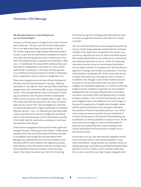# **Chairman / CEO Message**

#### **We take great pleasure in presenting to you our 2011 Annual Report.**

During 2011 the fast pace of change in the Group of recent years continued. The year saw the first full-scale production in our Beech-Nut infant-nutrition plant in the US, the Group's largest ever single capital investment project. Further, at year-end we have almost completed our brandnew infant-formula production plant in North-East China with first sellable products expected to be available in May 2012. In Switzerland, the Group left its historical base and relocated its headquarters cross-town to a new, custombuilt facility in Lenzburg. In Germany, we broke ground on an additional new jam production facility in Schwartau that is expected to come on stream in September 2012.

There were changes also at the level of both the Board of Directors and the Executive Board in the year. Effective December 31st 2011, Werner Holm and Lutz Peters both have stepped down from the Board after 17 years' distinguished service. These two gentlemen were instrumental in building up Schwartau over the years and then enabling the Oetker family to acquire and integrate Hero in 1995. Since then, they have been key advisers as the Group has developed into its current form. We are delighted to welcome Dr. Hasso Kaempfe and Dr. Hagen Duenbostel to the Board effective January 1st 2012. Dr. Kaempfe joins the Board after many successful years in senior management and Board roles in international groups and Dr. Duenbostel, currently CFO of KWS SAAT AG, will further contribute to the financial expertise of the Board.

At the senior management level we also made significant changes this year. Following on from Stefan F. Heidenreich's departure from the Group, the Board of Directors decided to strengthen and enlarge the Executive Board: René Bänziger was appointed to the new role of Deputy Chief Executive Officer and in addition, the regional vice-presidents Markus Lenke, Rob Versloot and Jim Schneider have been promoted to become members of the Executive Board. Peter Amon has taken over the CEO role joining

the Group having had a distinguished international career in senior management positions with Aramark, Unilever and Kraft.

The 2011 financial performance was disappointing with the Group's results being adversely impacted by the increased strength of the Swiss franc compared to the Group's core currencies, especially the euro, US dollar and British pound. We invested significantly as we started up our commercial and industrial operations in China. In the US, continuing costs were incurred as we de-commissioned two plants, one for infant nutrition in Canajoharie NY and the other for popcorn in Chicago, and ramped up production in the new infant facility in Amsterdam NY. At the same time, we constructed and started up a new popcorn plant in Ocala, FL. In addition, even though in most infant markets we were successful in increasing market share, the overall infant category size developed negatively as a result of continuing tough economic conditions in general. Our Jam positions developed for the most part well given the surrounding economic environment with solid growth even in mature European markets. From a technical perspective, we also were obliged to take some additional non-cash charges in the year for impairment of tangible and intangible assets and for partly writing down prior-year gains relating to the valuation of financial derivative positions. As a result of the weak net income result for the year, the Board of Directors will propose to the Annual General Meeting not to distribute an ordinary dividend in respect of 2011. At the same time, we are happy to confirm that the Board of Directors has resolved that the coupon relating to the Group's hybrid bond will be paid out in October 2012 in the normal manner.

As we enter 2012, our core international categories remain Infant and Jams and our international footprint is now truly international. Going forward, our priorities remain to develop growing, sustainable and profitable branded Infant positions in all our markets, and to maintain stable positions in Jams and other local high-margin categories with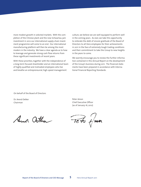more modest growth in selected markets. With the completion of the Chinese plant and the new Schwartau jam investment in 2012 our international supply-chain investment programme will come to an end. Our international manufacturing platform will then be among the most modern in the industry. We have a clear agenda as to how to leverage and generate strong cash flow returns from these significant investments of recent years.

With these priorities, together with the independence of a long-term focused shareholder and an international team of highly qualified and motivated employees who live and breathe an entrepreneurial, high-speed management

culture, we believe we are well equipped to perform well in the coming years. As ever, we take this opportunity to reiterate the debt of sincere gratitude of the Board of Directors to all Hero employees for their achievements in 2011 in the face of extremely tough trading conditions and their commitment to take the Group to new heights in the years to come.

We warmly encourage you to review the further information contained in this Annual Report on the development of the Group's business during 2011. The financial statements have been prepared in accordance with International Financial Reporting Standards.

On behalf of the Board of Directors

Dr. Arend Oetker Chairman

Aun Outher

Peter Amon Chief Executive Officer (as of January 16, 2012)

Tete fma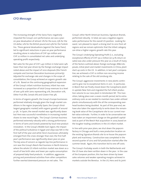## **CFO Message**

The increasing strength of the Swiss franc negatively impacted the Group's 2011 performance; we saw a yearon-year devaluation of almost 11% for the euro, 15% for the US dollar, 12% for the British pound and 23% for the Turkish lira. These general devaluations (against the Swiss franc) led to significant reductions in year-on-year performance resulting alone in reductions of CHF 190 million and CHF 22 million in consolidated net sales and underlying operating profit respectively.

Net sales for the year of CHF 1,431 million in total were 14% lower than last year driven by the foreign-exchange impact noted above and the impact of 2010 disposals (the French compote and German Decoration businesses primarily). Adjusted for exchange-rate and changes in the scope of consolidation, the Group achieved an organic growth rate of 2.1%. Based on the continuing geographical expansion of the Group's infant nutrition business, Infant has now increased as a proportion of total Group revenues to a level of over 42% with Jams representing 21%, Decoration 10%, Other Fruit 8%, Cereals 6% and Gluten-Free 4%.

In terms of organic growth, the Group's Europe businesses performed relatively strongly given the tough market conditions in the region (especially Spain, the Group's thirdlargest geographic market) with organic growth of around 4–5%. In Spain, the overall market was significantly down but Hero was successful nonetheless in increasing market shares to new record highs. The Group's German business performed extremely robustly with a strong performance in terms of Jams and Cereals powered by local new-product innovation. In the Group's Middle East region, the impact of the political turbulence in Egypt and Libya was felt in the first half of the year and while Hero's businesses ultimately emerged from the crises stronger than ever, the first halfyear's performance was significantly down year-on-year. The key area of concern as regards top-line performance in 2011 was the Group's Beech-Nut business in North America where the whole US infant-nutrition market was down as a result of low birth rates and lower per-capita consumption of prepared baby food products. In addition, aggressive pricing and promotional activities from other competitors further exerted downward pressure on net sales. The

Group's other North American business, Signature Brands, performed robustly. In total, we saw a negative organic sales performance for the overall US position. Looking forward, I am pleased to report a strong start to 2012 from all regions and we remain optimistic that the Infant category can drive a higher organic growth rate this year.

The Group's Underlying Operating Profit (i. e., excluding exceptional effects) of CHF 130.2 million (or 9.1% return on sales) was also under pressure this year as a result of many of the factors outlined above: foreign exchange, M&A disposals, initial plant and market investments in China, plant start-up costs in the US. In addition, in last year's comparative, we achieved a CHF 10 million non-recurring income relating to the sale of the old Lenzburg site.

The Group's aggressive investments in new plants continued to give rise to exceptional items in 2011. In particular, in Beech-Nut we finally closed down the Canajoharie plant in upstate New York and migrated the full infant production volume to our new plant in Amsterdam NY. This transition, taking place over a seven-month period, led to extraordinary costs as we needed to maintain two under-utilized plants simultaneously with the all the corresponding overhead burdens being doubled. As part of this year-end, we have also taken the opportunity to write down the remaining book value of the Canajoharie site to our current market-value estimate. Further, in order to be conservative we have taken an impairment charge on the goodwill capitalized as part of the Beech-Nut acquisition in 2005 based on the tougher trading conditions in the US infant market.

In line with prior-year plans, we shut down the popcorn factory in Chicago and built a new production location on the existing Signature Brands site to re-house the popcorn plant and machinery. Construction was completed in the second quarter of 2012 and full production started after the summer break. Again, this transition led to one-off costs.

The Group's *Fruit2day* assets in both the Netherlands and the US have also been written down in the year: in the case of the European position, this has been driven by lower sales volumes and weaker operating margins achieved in markets outside the Benelux. In the US, Hero and its joint-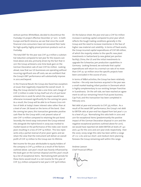venture partner, WhiteWave, decided to discontinue the *Fruitzday* US project effective December 31<sup>st</sup> 2011. In both Europe and North America, we see that since the 2008 financial crisis consumers have not recovered their taste for high-quality, highly priced premium products such as *Fruit2day*.

The total EBIT for the year was CHF 33.7 million a substantial reduction compared to last year for the reasons outlined above and also, primarily driven by the fact that in 2011 the Group achieved a one-time book gain on the German Decoration sale of over CHF 60 million. Looking ahead, now that our US businesses are operating without incurring significant one-off costs, we are confident that the Group's EBIT performance will substantially improve in 2012 and beyond.

In the Financial Result, the Group also faced two exceptional issues that negatively impacted the overall result. In May, the Group elected to take a one-time cash charge of CHF 17 million in order to buy itself out of a US put bond entered into in 2006 for which the coupon would have otherwise increased significantly for the coming ten years. As a result, the Group will be able to re-finance \$100 million of debt at today's lower interest rates rather than at a level of over 7% based on the terms of the bond. Over the coming ten years, this transaction generates positive cash flow for the Group with a net present value of over CHF 17 million compared to retaining the put bond. Secondly, the trend swap instrument the Group entered into alongside the hybrid bond in 2009 was marked to market based on the performance of the index over recent years resulting in a loss of CHF 14 million. This loss represents only a partial reversal of prior years' gains and we retain the view that the instrument will deliver an overall profit of CHF 25 million to the Group over its lifetime.

Net Income for the year attributable to equity holders of the company is CHF 4.3 million as a result of the factors outlined above. Last year's result was heavily influenced by the book gain on the German disposal and this year's result by a list of exceptional items. Normalizing both periods for these items would result in a net income for this year of CHF 75.5 million compared to last year's CHF 79.8 million.

On the balance sheet, the year-end saw a CHF 60 million increase in working capital compared to prior year which reflects the tough trading conditions generally in the Group and the need to increase inventories in the face of higher raw-material cost volatility. In terms of fixed assets, the Group incurred capital expenditures of CHF 68 million, of which the majority relates to the specific new plant investments in Switzerland (a new global jam portion facility), China, the US and the initial investments to upgrade the Schwartau jam production capabilities in Germany. Looking forward, we estimate that capital expenditures will return to a normal run-rate of no more than CHF 25–30 million once the specific projects have been concluded in the course of 2012.

In terms of M&A activities, the Group has been relatively inactive – the only new business acquired in the year was a small market-leading infant position in Denmark which is highly complementary to our existing Semper franchise in Scandinavia. On the sell-side, we have reached an agreement to sell our remaining French fruit-puree business, Cap Fruit, and this transaction has been completed in February 2012.

Net debt at year-end amounts to CHF 375 million. As a result of the weak EBIT performance, the Group's net debt to EBITDA ratio at year-end has slipped from last year's 1.2x to a level of 3.3x. Normalizing this ratio both in 2010 and 2011 for exceptional items (predominantly the positive impact of the German Decoration disposal in 2011 and the negative exceptional positions outlined above for 2011), we would have reported net debt/EBITDA at levels of 1.4x and 2.4x for the 2010 and 2011 year-ends respectively. Over the 2005–2009 range this ratio has been within a range of 1.1x–2.6x and our short- and medium-term planning foresees the Group remaining well within this range.

Andrew Lawson Chief Financial Officer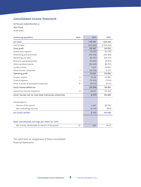# **Consolidated Income Statement**

**for the year ended December 31 Hero Group in chf 1000.–**

| <b>Continuing operations</b>                            | <b>Note</b> | 2011     | 2010      |
|---------------------------------------------------------|-------------|----------|-----------|
| <b>NET SALES</b>                                        |             | 1431100  | 1665242   |
| Cost of sales                                           |             | (905893) | (1034007) |
| Gross profit                                            |             | 525 207  | 631 235   |
| Distribution expense                                    |             | (79 441) | (92518)   |
| Advertising and promotion                               |             | (143336) | (166189)  |
| Marketing and sales                                     |             | (85 507) | (101737)  |
| Research and development                                |             | (10093)  | (11832)   |
| Administrative expense                                  |             | (90638)  | (82791)   |
| Sundry income                                           |             | 7 2 0 2  | 20 659    |
| Other income / (expense)                                | 1           | (90758)  | 15 2 5 5  |
| Operating profit                                        |             | 32 636   | 212 082   |
| Finance income                                          | 3           | 23 178   | 63 982    |
| Finance expense                                         | 3           | (73 825) | (71141)   |
| Share in result of associated companies                 | 10          | (18573)  | (9 113)   |
| (Loss) / Income before tax                              |             | (36584)  | 195 810   |
| Income tax income/(expense)                             | 6           | 34 147   | (53 342)  |
| (LOSS) / INCOME FOR THE YEAR FROM CONTINUING OPERATIONS |             | (2437)   | 142 468   |
| Attributable to:                                        |             |          |           |
| Owners of the parent                                    |             | 4 2 8 7  | 143 130   |
| Non-controlling interests                               |             | (6724)   | (662)     |
| NET (LOSS) / INCOME                                     |             | (2437)   | 142 468   |
|                                                         |             |          |           |
| Basic and dilluted earnings per share (in CHF)          |             |          |           |
| Net income, attributable to owners of the parent        | 30          | 0.85     | 28.47     |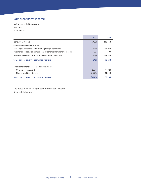# **Comprehensive Income**

**for the year ended December 31 Hero Group in chf 1000.–**

**2011 2010 net (loss) / income (2 437) 142 468 Other comprehensive income** Exchange differences on translating foreign operations (2 443) (64 827)<br>Income tax relating to components of other comprehensive income (393) (393) Income tax relating to components of other comprehensive income 135 (393)<br>
OTHER COMPREHENSIVE INCOME FOR THE YEAR, NET OF TAX (2 308) (65 220) **OTHER COMPREHENSIVE INCOME FOR THE YEAR, NET OF TAX total comprehensive income for the year (4 745) 77 248** Total comprehensive income attributable to: Owners of the parent 2 231 81 328<br>
Non-controlling interests (6 976) (4 080) Non-controlling interests **total comprehensive income for the year (4 745) 77 248**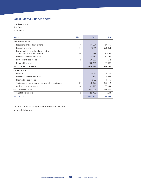# **Consolidated Balance Sheet**

**as at December 31**

**Hero Group**

**in chf 1000.–**

| <b>Assets</b>                                                          | <b>Note</b>    | 2011     | 2010      |
|------------------------------------------------------------------------|----------------|----------|-----------|
| Non-current assets                                                     |                |          |           |
| Property, plant and equipment                                          | 8              | 458 674  | 456136    |
| Intangible assets                                                      | $\overline{Q}$ | 715 114  | 790 491   |
| Investments in associated companies<br>and interests in joint ventures | 4 7 3 3        | 10 604   |           |
| Financial assets at fair value                                         | 26             | 16 657   | 34893     |
| Non-current receivables                                                | 12             | 20 027   | 11 652    |
| Deferred tax assets                                                    | 13             | 128 284  | 89 487    |
| <b>TOTAL NON-CURRENT ASSETS</b>                                        | 1343489        | 1393 263 |           |
| <b>Current assets</b>                                                  |                |          |           |
| Inventories                                                            | 14             | 239 237  | 218 326   |
| Financial assets at fair value                                         | 26             | 1488     | 14 3 2 2  |
| Income tax receivables                                                 |                | 3 1 7 2  | 4636      |
| Trade receivables, prepayments and other receivables                   | 15             | 218 292  | 205 849   |
| Cash and cash equivalents                                              | 16             | 82736    | 197 383   |
| <b>TOTAL CURRENT ASSETS</b>                                            | 544 925        | 640 516  |           |
| Assets held for sale                                                   | $\overline{2}$ | 155 908  | 32 518    |
| <b>TOTAL ASSETS</b>                                                    |                | 2044322  | 2 066 297 |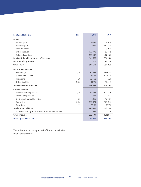| <b>Equity and liabilities</b>                             | <b>Note</b>    | 2011      | 2010     |
|-----------------------------------------------------------|----------------|-----------|----------|
| Equity                                                    |                |           |          |
| Share capital                                             | 17             | 51 51 6   | 51 51 6  |
| Hybrid capital                                            | 17             | 542 142   | 492142   |
| Treasury shares                                           | 17             |           | (19418)  |
| Other reserves                                            | 17             | (59898)   | (57842)  |
| Retained earnings                                         |                | 429 492   | 488 165  |
| Equity attributable to owners of the parent               |                | 963 252   | 954 563  |
| Non-controlling interests                                 |                | 22 761    | 29738    |
| <b>TOTAL EQUITY</b>                                       |                | 986 013   | 984 301  |
| Non-current liabilities                                   |                |           |          |
| Borrowings                                                | 18,26          | 267885    | 352 694  |
| Deferred tax liabilities                                  | 13             | 96 114    | 105 868  |
| Provisions                                                | 20             | 58 6 68   | 72 581   |
| Other liabilities                                         | 21, 26         | 33 715    | 12 5 6 0 |
| <b>Total non-current liabilities</b>                      |                | 456 382   | 543 703  |
| <b>Current liabilities</b>                                |                |           |          |
| Trade and other payables                                  | 22, 26         | 298 198   | 307 250  |
| Income tax payables                                       |                | 614       | 2655     |
| Derivative financial liabilities                          | 26             | 6 15 6    | 12 4 2 3 |
| Borrowings                                                | 18, 26         | 189 979   | 163 814  |
| Provisions                                                | 23             | 35 121    | 52 151   |
| <b>Total current liabilities</b>                          |                | 530 068   | 538 293  |
| Liabilities directly associated with assets held for sale | $\overline{2}$ | 71859     |          |
| <b>TOTAL LIABILITIES</b>                                  |                | 1058309   | 1081996  |
| <b>TOTAL EQUITY AND LIABILITIES</b>                       |                | 2 044 322 | 2066297  |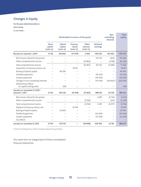# **Changes in Equity**

**for the year ended December 31 Hero Group**

**in chf 1000.–**

|                                                          | Attributable to owners of the parent |                                       |                                        |                                |                      | Non-<br>controlling<br>interests | <b>Total</b><br>equity |
|----------------------------------------------------------|--------------------------------------|---------------------------------------|----------------------------------------|--------------------------------|----------------------|----------------------------------|------------------------|
|                                                          | <b>Share</b><br>capital<br>(note 17) | <b>Hybrid</b><br>capital<br>(note 17) | <b>Treasury</b><br>shares<br>(note 17) | Other<br>reserves<br>(note 17) | Retained<br>earnings |                                  |                        |
| <b>BALANCE AT JANUARY 1, 2010</b>                        | 51 51 6                              | 392892                                | (37979)                                | 3960                           | 496 461              | 163 660                          | 1070 510               |
| Net income / (loss) for the period                       |                                      |                                       |                                        |                                | 143 130              | (662)                            | 142 468                |
| Other comprehensive income                               |                                      |                                       | $\overline{\phantom{0}}$               | (61802)                        |                      | (3418)                           | (65220)                |
| Total comprehensive income                               |                                      |                                       | $\overline{\phantom{m}}$               | (61802)                        | 143 130              | (4080)                           | 77 248                 |
| Acquisition of treasury shares, net                      |                                      |                                       | 18 5 61                                |                                |                      |                                  | 18 5 61                |
| Raising of hybrid capital                                |                                      | 99 290                                |                                        |                                |                      |                                  | 99 290                 |
| Dividend payments                                        |                                      |                                       |                                        |                                | (10 203)             |                                  | (10 203)               |
| Coupon payments                                          |                                      |                                       |                                        |                                | (29029)              |                                  | (29029)                |
| Change in non-controlling interests                      |                                      |                                       |                                        | —                              | (112 194)            | $(129842)^{*}$                   | (242 036)              |
| Deferred tax effects<br>on capital raising costs         |                                      | (40)                                  |                                        |                                |                      |                                  | (40)                   |
| BALANCE AT DECEMBER 31, 2010 /<br><b>JANUARY 1, 2011</b> | 51 51 6                              | 492 142                               | (19 418)                               | (57842)                        | 488 165              | 29 738                           | 984 301                |
| Net income / (loss) for the period                       |                                      |                                       |                                        |                                | 4 2 8 7              | (6724)                           | (2437)                 |
| Other comprehensive income                               |                                      | $\overline{\phantom{0}}$              |                                        | (2056)                         |                      | (253)                            | (2309)                 |
| Total comprehensive income                               |                                      |                                       | $\overline{\phantom{m}}$               | (2056)                         | 4 2 8 7              | (6977)                           | (4746)                 |
| Disposal of treasury shares, net                         |                                      |                                       | 19 418                                 |                                |                      |                                  | 19 418                 |
| Raising of hybrid capital                                |                                      | 50 000                                |                                        |                                |                      | $\overline{\phantom{0}}$         | 50 000                 |
| Dividend payments                                        |                                      |                                       |                                        | $\qquad \qquad -$              | (30 460)             |                                  | (30 460)               |
| Coupon payments                                          |                                      |                                       |                                        |                                | (32500)              | $\qquad \qquad -$                | (32 500)               |
| Tax effects                                              |                                      |                                       |                                        |                                |                      |                                  |                        |
| <b>BALANCE AT DECEMBER 31, 2011</b>                      | 51 51 6                              | 542 142                               | $\qquad \qquad -$                      | (59898)                        | 429 492              | 22 761                           | 986 013                |

\*) Orient Link Holdings CHF 25.0 million; Schwartauer Werke CHF (154.8 million).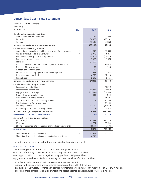# **Consolidated Cash Flow Statement**

**for the year ended December 31**

| Hero Group                                                       |                 |           |             |
|------------------------------------------------------------------|-----------------|-----------|-------------|
| in CHF 1000.-                                                    | <b>Note</b>     | 2011      | 2010        |
| Cash flows from operating activities                             |                 |           |             |
| Cash generated from operations                                   | 24              | 32 419    | 122 961     |
| Interest paid                                                    |                 | (34893)   | (39 202)    |
| Tax paid                                                         |                 | (18016)   | $(14\ 771)$ |
| NET CASH (USED IN) / FROM OPERATING ACTIVITIES                   |                 | (20 490)  | 68988       |
| Cash flows from investing activities                             |                 |           |             |
| Acquisition of subsidiaries and businesses, net of cash acquired | 25              | (3 272)   | (32535)     |
| Capital contribution to joint-ventures                           | 10 <sup>°</sup> | (5998)    | (8355)      |
| Purchase of property, plant and equipment                        | 8               | (67901)   | (115 629)   |
| Purchase of intangible assets                                    | 9               | (5888)    | (5565)      |
| Loans made                                                       |                 | (14055)   |             |
| Disposal of subsidiaries and businesses, net of cash disposed    | 25              |           | 137 034     |
| Disposal of intangible assets                                    |                 | 69        | 366         |
| Disposal of financial assets                                     |                 | 4 6 18    |             |
| Proceeds from sale of property, plant and equipment              |                 | 1378      | 1558        |
| Loan repayments received                                         |                 | 6 2 5 6   | 67330       |
| Interest received                                                |                 | 9 2 3 8   | 19 12 6     |
| NET CASH (USED IN) / FROM INVESTING ACTIVITIES                   |                 | (75 555)  | 63 3 3 0    |
| Cash flows from financing activities                             |                 |           |             |
| Proceeds from hybrid Bond                                        |                 |           | 99 290      |
| Proceeds from borrowings                                         |                 | 155 0 96  | 18 009      |
| Repayment of borrowings                                          |                 | (113 389) | (170841)    |
| Finance lease principal payments                                 |                 | (219)     | (189)       |
| Acquisition of minority interests                                |                 |           | (69195)     |
| Capital reduction in non-controlling interests                   |                 |           | (92 285)    |
| Dividends paid to Group shareholders                             |                 |           | (10 203)    |
| Coupon payments                                                  |                 | (32500)   | (29029)     |
| Dividends paid to non-controlling interests                      |                 |           | (15624)     |
| NET CASH FROM / (USED IN) FINANCING ACTIVITIES                   |                 | 8988      | (270067)    |
| (DECREASE) IN CASH AND CASH EQUIVALENTS                          |                 | (87057)   | (137749)    |
| Movement in cash and cash equivalents                            |                 |           |             |
| At start of year                                                 |                 | 197 383   | 350736      |
| (Decrease)                                                       |                 | (87057)   | (137749)    |
| Effects of exchange rate changes on cash and cash equivalents    |                 | (18714)   | (15604)     |
| <b>AT END OF YEAR</b>                                            |                 | 91 612    | 197 383     |
| Thereof cash and cash equivalents                                | 16              | 82736     | 197 383     |
| Thereof cash and cash equivalents classified as held for sale    | $\overline{2}$  | 8 8 7 6   |             |
|                                                                  |                 |           |             |

The notes form an integral part of these consolidated financial statements.

#### **Non-cash transactions**

The following significant non-cash transactions took place in 2011:

– disposal of treasury shares netted against loan payables of CHF 27.1 million

- raising of hybrid capital netted against loan payables of CHF 50.0 million
- payment of shareholder dividend netted against loan payables of CHF 30.5 million

The following significant non-cash transactions took place in 2010:

- disposal of treasury shares netted against loan receivables of CHF 18.6 million
- acquisition of Schwartauer Werke non-controlling interest netted against loan receivables of CHF (94.9 million)
- executive share compensation plan transactions netted against loan receivables of CHF 12.0 million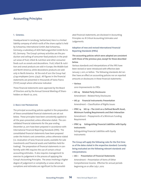# **Accounting Principles**

#### **1. General**

Headquartered in Lenzburg, Switzerland, Hero is a limited liability company of which 100% of the share capital is held by Schwartau International GmbH, Bad Schwartau, Germany, a subsidiary of AOH Nahrungsmittel GmbH & Co KG, Germany. The Group's primary activities are the production and selling of consumer food products in the product areas of fruit, infant & nutrition and other consumer foods such as cereals and decorations. Fruit, infant & nutrition and cereal products are sold in Europe, the Middle East and North America, while decorations products are sold only in North America. At the end of 2011 the Group had 4'144 employees (2010: 3'952). All figures in the financial statements are presented in thousands of Swiss francs (TCHF) except where otherwise indicated.

These financial statements were approved by the Board of Directors and by the Annual General Meeting of Shareholders on March 22, 2012.

#### **2. Basis for Preparation**

The principal accounting policies applied in the preparation of these consolidated financial statements are set out below. These principles have been consistently applied to all the years presented, unless otherwise stated. The consolidated financial statements for the year ending December 31, 2011 have been prepared in accordance with International Financial Reporting Standards (IFRS). The consolidated financial statements have been prepared under the historic cost convention, unless otherwise stated (i.e. revaluation of land, financial assets, available-for-sale investments and financial assets and liabilities held-fortrading). The preparation of financial statements in conformity with IFRS requires the use of certain critical accounting estimates. It also requires management to exercise its judgement in the process of applying the Group's Accounting Principles. The areas involving a higher degree of judgement or complexity, or areas where assumptions and estimates are significant to the consolidated financial statements, are disclosed in Accounting Principles no. 8 Critical Accounting Estimates and Judgements.

### **Adoption of new and revised International Financial Reporting Standards (IFRSs)**

**The accounting policies which were adopted are consistent with those of the previous year, except for those described below.**

Various standards and interpretations of the IFRS have been revised or were introduced with effective date January 1, 2011, or before. The following standards did neither have an effect on accounting policies nor on reported amounts or disclosures in these financial statements:

**– Various**

2010 Improvements to IFRSs

- **IAS 24 Related Party Disclosures** Amendment – Related Party Disclosures
- **IAS 32 Financial Instruments: Presentation** Amendment – Classification of Rights Issues
- **IFRIC 14 IAS 19 The Limit on a Defined Benefit Asset, Minimum Funding Requirements and their Interaction** Amendment – Prepayments of a Minimum Funding Requirement
- **IFRIC 19 Extinguishing Financial Liabilities with Equity Instruments**

Extinguishing Financial Liabilities with Equity Instruments

**The Group will apply the following rules for the first time as of the dates stated in the respective standard. Currently being evaluated are the following relevant standards and interpretations:**

**– IAS 1 Presentation of Financial Statements**

Amendment – Presentation of Items of Other Comprehensive Income. Effective for annual periods beginning on or after July 1, 2012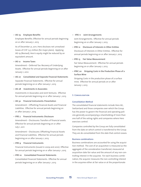#### **– IAS 19 Employee Benefits**

Employee Benefits. Effective for annual periods beginning on or after January 1, 2013

As of December 31, 2011, Hero discloses net unrealized losses of CHF 13.5 million (for major plans). Applying IAS 19 (Revised), Hero's equity might be reduced by an equivalent amount.

#### **– IAS 12 Income Taxes**

Amendment – Deferred Tax: Recovery of Underlying Assets. Effective for annual periods beginning on or after January 1, 2012

**– IAS 27 Consolidated and Separate Financial Statements** Separate Financial Statements. Effective for annual periods beginning on or after January 1, 2013

#### **– IAS 28 Investments in Associates**

Investments in Associates and Joint Ventures. Effective for annual periods beginning on or after January 1, 2013

**– IAS 32 Financial Instruments: Presentation**

Amendment – Offsetting Financial Assets and Financial Liabilities. Effective for annual periods beginning on or after January 1, 2014

**– IFRS 7 Financial Instruments: Disclosure**

Amendment – Disclosures: Transfers of financial assets. Effective for annual periods beginning on or after July 1, 2011

Amendment – Disclosures: Offsetting Financial Assets and Financial Liabilities. Effective for annual periods beginning on or after January 1, 2013

#### **– IFRS 9 Financial Instruments**

Financial Instruments (issued in 2009 and 2010). Effective for annual periods beginning on or after January 1, 2015

#### **– IFRS 10 Consolidated Financial Statements**

Consolidated Financial Statements. Effective for annual periods beginning on or after January 1, 2013

#### **– IFRS 11 Joint Arrangements**

Joint Arrangements. Effective for annual periods beginning on or after January 1, 2013

- **IFRS 12 Disclosure of Interests in Other Entities** Disclosure of Interests in Other Entities. Effective for annual periods beginning on or after January 1, 2013
- **IFRS 13 Fair Value Measurement**

Fair Value Measurement. Effective for annual periods beginning on or after January 1, 2013

**– IFRIC 20 Stripping Costs in the Production Phase of a Surface Mine**

Stripping Costs in the production phase of a surface mine. Effective for annual periods on or after January 1, 2013

#### **3. Consolidation**

#### **Consolidation Method**

The consolidated financial statements include Hero AG, Switzerland and those companies over which the Group has the power to govern the financial and operating policies generally accompanying a shareholding of more than one half of the voting rights and companies where Hero exercises control.

Companies controlled by the Group are fully consolidated from the date on which control is transferred to the Group. They are de-consolidated from the date that control ceases.

#### **Business combinations**

Business combinations are accounted for using the acquisition method. The cost of an acquisition is measured as the aggregate of the consideration transferred, measured at acquisition date fair value and the amount of any non-controlling interest in the acquiree. For each business combination, the acquirer measures the non-controlling interest in the acquiree either at fair value or at the proportionate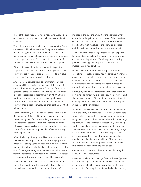share of the acquiree's identifiable net assets. Acquisition costs incurred are expensed and included in administrative expenses.

When the Group acquires a business, it assesses the financial assets and liabilities assumed for appropriate classification and designation in accordance with the contractual terms, economic circumstances and pertinent conditions as at the acquisition date. This includes the separation of embedded derivatives in host contracts by the acquiree.

If the business combination is achieved in stages, the acquisition date fair value of the acquirer's previously held equity interest in the acquiree is remeasured to fair value at the acquisition date through profit or loss.

Any contingent consideration to be transferred by the acquirer will be recognised at fair value at the acquisition date. Subsequent changes to the fair value of the contingent consideration which is deemed to be an asset or liability, will be recognised in accordance with IAS 39 either in profit or loss or as a change to other comprehensive income. If the contingent consideration is classified as equity, it should not be remeasured until it is finally settled within equity.

Goodwill is initially measured at cost being the excess of the aggregate of the consideration transferred and the amount recognised for non-controlling interest over the net identifiable assets acquired and liabilities assumed. If this consideration is lower than the fair value of the net assets of the subsidiary acquired, the difference is recognised in profit or loss.

After initial recognition, goodwill is measured at cost less any accumulated impairment losses. For the purpose of impairment testing, goodwill acquired in a business combination is, from the acquisition date, allocated to each of the Group's cash-generating units that are expected to benefit from the combination, irrespective of whether other assets or liabilities of the acquiree are assigned to those units.

Where goodwill forms part of a cash-generating unit and part of the operation within that unit is disposed of, the goodwill associated with the operation disposed of is

included in the carrying amount of the operation when determining the gain or loss on disposal of the operation. Goodwill disposed of in this circumstance is measured based on the relative values of the operation disposed of and the portion of the cash-generating unit retained.

The Group has applied IAS 27 Consolidated and Separate Financial Statements (2008) in accounting for acquisitions of non-controlling interests. The change in accounting policy has been applied prospectively and has had no impact on earnings per share.

Under the new accounting policy, acquisitions of non controlling interests are accounted for as transactions with owners in their capacity as owners and therefore no goodwill is recognised as a result of such transactions. The adjustments to non-controlling interests are based on a proportionate amount of the net assets of the subsidiary.

Previously, goodwill was recognised on the acquisition of non-controlling interests in a subsidiary, which represented the excess of the cost of the additional investment over the carrying amount of the interest in the net assets acquired at the date of the transaction.

When the Group ceases to have control any retained interest in the entity is re-measured to its fair value at the date when control is lost, with the change in carrying amount recognised in profit or loss. The fair value is the initial carrying amount for the purposes of subsequently accounting for the retained interest as an associate, joint venture or financial asset. In addition, any amounts previously recognised in other comprehensive income in respect of that entity are accounted for as if the Group had directly disposed of the related assets or liabilities. This may mean that amounts previously recognised in other comprehensive income are reclassified to profit or loss.

Companies jointly controlled are accounted for using the equity method of accounting.

Investments, where Hero has significant influence (generally accompanying a shareholding of between 20% and 50% of the voting rights) but neither control nor joint control, are accounted for using the equity method and are initially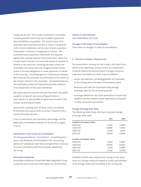recognized at cost. The Group's investment in associates includes goodwill (net of any accumulated impairment loss) identified on acquisition. The Group's share of its associates' post-acquisition profits or losses is recognized in the income statement, and its share of post-acquisition movements in reserves is recognized in reserves. The cumulative post-acquisition movements are adjusted against the carrying amount of the investment. When the Group's share of losses in an associate equals or exceeds its interest in the associate, including any other unsecured receivables, the Group does not recognize further losses, unless it incurred obligations or made payments on behalf of the associate. Unrealized gains on transactions between the Group and its associates are eliminated to the extent of the Group's interest in the associates. Unrealized losses are also eliminated unless the transaction provides evidence of an impairment of the asset transferred.

Net assets and the result for the year have been calculated using the company's own accounting principles in cases where it is not possible to adjust local records to the Group's accounting principles.

Investments meeting none of these criteria are treated as financial instruments (refer to section 'Financial Instruments' for further details).

A list of investments, the investment percentage and the applicable consolidation method can be found on pages 72 to 75.

#### **Eliminations in the Course of Consolidation**

All intra-group balances / transactions / unrealized gains / losses and dividends are eliminated in full. Accounting policies of subsidiaries have been changed where necessary to ensure consistency with the principles adopted by the Group.

#### **Associated Companies**

Associated companies include AOH Nahrungsmittel Group companies (Germany) and Citron Export Inc. (Puerto Rico).

### **Interest in Joint Ventures**  Hero/WhiteWave, LLC (USA).

#### **Changes in the Scope of Consolidation**

There were no changes in scope of consolidation.

#### **4. Foreign Currency Translation**

The presentation currency for the Group is the Swiss Franc, which is the reporting currency of Hero AG, Switzerland. Financial statements denominated in foreign currencies have been translated into Swiss Francs as follows:

- Assets and liabilities, including goodwill, are translated at the closing rate at the date of the balance sheet
- Revenues and costs are translated using average exchange rates for the accounting period
- Exchange differences out of the translation of assets and liabilities and the related income statements are booked in other comprehensive income

#### **Foreign Exchange Rate Table**

The following table shows the most important foreign exchange rates used:

|                               | 2011   | 2010   |
|-------------------------------|--------|--------|
| <b>AVERAGE EXCHANGE RATES</b> |        |        |
| FUR/CHF                       | 1.2344 | 1.3839 |
| USD/CHE                       | 0.8881 | 1.0433 |
| <b>GBP/CHF</b>                | 1.4234 | 1.6116 |
| SFK/CHF                       | 0.1369 | 0.1449 |
|                               |        |        |
| <b>CLOSING EXCHANGE RATES</b> |        |        |
| FUR/CHF                       | 1.2163 | 1.2497 |
| <b>USD/CHE</b>                | 0.9416 | 0.9353 |
| <b>GBP/CHF</b>                | 1.4514 | 1.4483 |
| SEK/CHF                       | 0.1361 | 0.1392 |
|                               |        |        |

Goodwill and fair value adjustments arising on the acquisition of a foreign entity are treated as assets and liabilities of the foreign entity and translated at the closing rate.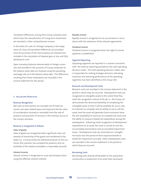Translation differences arising from Group company loans which have the characteristics of a long-term investment are recorded in other comprehensive income.

In the event of a sale of a foreign company or the repayment of a loan all translation differences accumulated since the purchase of the said company are released and included in the calculation of disposal gain or loss and fully disclosed as such.

Open monetary balances denominated in foreign currencies and recorded in the accounts of Group companies at the balance sheet date are revalued using the prevailing exchange rate as at the balance sheet date. The differences resulting from these revaluations are recorded in the income statement for the period.

#### **5. Valuation Principles**

#### **Revenue Recognition**

Net sales to third parties are recorded net of trade discounts and sales-related taxes, and represent the fair value of consideration received or receivable from the sale of products and provision of services in the ordinary course of the Group's activities.

#### **Revenue is recognized as follows:**

#### **Sales of goods**

Sales of goods are recognized when significant risks and rewards of ownership of the goods are transferred to the buyer (i.e. a Group entity has delivered products to the customer, the customer has accepted the products and collectibility of the related receivables is reasonably assured).

#### **Interest income**

Interest income is recognized on a pro rata temporis basis using the effective interest method.

#### **Royalty income**

Royalty income is recognized on an accrual basis in accordance with the substance of the relevant agreements.

#### **Dividend income**

Dividend income is recognized when the right to receive payment is established.

#### **Segment Reporting**

Operating segments are reported in a manner consistent with the internal reporting provided to the chief operating decision-maker. The chief operating decision-maker, who is responsible for making strategic decisions, allocating resources and assessing performance of the operating segments, has been identified as the Group CEO.

#### **Research and Development Costs**

Research costs are recorded in the income statement in the period in which they are incurred. Development costs are recognized as intangible assets to the extent that they meet the recognition criteria of IAS 38, i.e. the Group can demonstrate the technical feasibility of completing the intangible asset so that it will be available for use or sale, its intention to complete and its ability to use or sell the asset, how the asset will generate future economic benefits, the availability of resources to complete the asset and the ability to measure reliably the expenditure during the development. Following initial recognition of development expenditure as an asset, the asset is carried at cost less accumulated amortization and accumulated impairment losses. Development costs are amortized on a straightline-basis over the period of their expected benefit or tested for impairment annually. Other development costs are recorded in the income statement in the period in which they are incurred.

#### **Borrowing Costs**

Borrowing costs directly attributable to the acquisition, construction or production of an asset that necessarily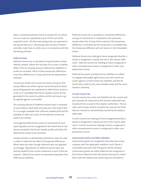takes a substantial period of time to prepare for its intended use or sale are capitalized as part of the cost of the respective asset. All other borrowing costs are expensed in the period they occur. Borrowing costs consist of interest and other costs that an entity incurs in connection with the borrowing of funds.

#### **Deferred Taxes**

Deferred income tax is calculated using the balance sheet liability method. Where the tax base of an asset or liability differs from its carrying amount, deferred tax liabilities or assets are recorded. Most of these temporary differences arise from differences in Group and local tax depreciation methods.

Unused tax credits and unused tax losses arising on temporary differences which may be carried forward to future accounting periods are capitalized as deferred tax assets in so far as it is probable that future taxable income will be generated in the same tax entity and the said losses may be applied against such profits.

The carrying amount of deferred income taxes is reviewed at each balance sheet date and reduced to the extent that it is no longer probable that sufficient taxable profit will be available to allow all or part of the deferred income tax asset to be utilized.

Unrecognized deferred tax assets are reassessed at each reporting date and are recognized to the extent that it has become probable that future taxable profits will allow the deferred tax assets to be recovered.

Locally enacted or substantially enacted tax rates are used in order to value the tax effect of temporary differences. When these tax rates change, deferred taxes are adjusted accordingly. Adjustments to deferred income taxes are directly booked to the income statement as part of the tax expense. Deferred tax assets are presented separately from deferred tax liabilities.

Deferred income tax is provided on temporary differences arising on investments in subsidiaries and associates, except where the timing of the reversal of the temporary difference is controlled by the Group and it is probable that the temporary difference will not reverse in the foreseeable future.

Deferred income tax relating to items recognized directly in equity is recognized in equity and not in the income statement. Deferred income tax relating to items recognized in other comprehensive income is recognized in other comprehensive income.

Deferred tax assets and deferred tax liabilities are offset, if a legally enforceable right exists to set off current tax assets against current income tax liabilities and the deferred taxes relate to the same taxable entity and the same taxation authority.

#### **Current Income Tax**

Current income tax assets and liabilities for the current and prior periods are measured at the amount expected to be recovered from or paid to the taxation authorities. The tax rates and tax laws used to compute the amount are those that are enacted or substantively enacted by the balance sheet date.

Current income tax relating to items recognized directly in equity is recognized in equity and not in the income statement. Current income tax relating to items recognized in other comprehensive income is recognized in other comprehensive income.

#### **Government Grants and Other Subsidies**

Government grants are recognized only when the Group complies with the applicable conditions and if there is reasonable assurance that the grants will be received. Government grants are either deferred and recognized in the income statement over the period necessary to match them with the related costs which they are intended to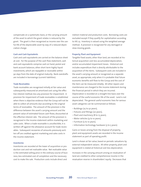compensate on a systematic basis, or the carrying amount of the asset to which the grant relates is reduced by the grant. The grant is then recognized as income over the useful life of the depreciable asset by way of a reduced depreciation charge.

#### **Cash and Cash Equivalents**

Cash and cash equivalents are carried on the balance sheet at cost. For the purpose of the cash flow statement, cash and cash equivalents comprise cash on hand, postal and bank account balances, other short term highly liquid investments, which are repayable or receivable within 90 days from the date of original maturity. Bank overdrafts are included in borrowings (current liabilities).

#### **Trade Receivables**

Trade receivables are recognized initially at fair value and subsequently measured at amortized cost using the effective interest method, less any provision for impairment. A provision for impairment of trade receivables is established when there is objective evidence that the Group will not be able to collect all amounts due according to the original terms of receivables. The amount of the provision is the difference between the asset's carrying amount and the present value of estimated future cash flows, discounted at the effective interest rate. The amount of the provision is recognized in the income statement within marketing and sales costs. When a trade receivable is uncollectible, it is written off against the allowance account for trade receivables. Subsequent recoveries of amounts previously written off are credited against marketing and sales costs in the income statement.

#### **Inventories**

Inventories are recorded at the lower of acquisition or production cost and net realizable value. Net realizable value is the estimated selling price in the ordinary course of business, less estimated cost of completion and the necessary cost to make the sale. Production costs include direct and

indirect material and production costs. Borrowing costs are excluded except if they qualify for capitalization according to IAS 23. Inventory is valued using the weighted average method. A provision is recognized for any damaged or slow-moving goods.

#### **Property, Plant and Equipment**

Tangible fixed assets, other than land, are recorded at historical acquisition cost less accumulated depreciation, and/or accumulated impairment losses. Historical cost includes expenditure that is directly attributable to the acquisition of the items. Subsequent costs are included in the asset's carrying amount or recognized as a separate asset, as appropriate, only when it is probable that future economic benefits will flow to the Group and the cost of the item can be measured reliably. All other repairs and maintenance are charged to the income statement during the financial period in which they are incurred. Depreciation is recorded on a straight-line basis over the course of the useful economic life of the asset. Land is not depreciated. The general useful economic lives for various asset categories can be summarized as follows:

- Buildings (25 to 50 years),
- Fixtures and fittings (20 years),
- Plant and machinery (8 to 15 years),
- Motor vehicles (4 to 10 years),
- Furniture (5 to 10 years),
- Information technology hardware (3 to 5 years).

Gains or losses arising from the disposal of property, plant and equipment assets are recorded in the income statement as part of operating profit.

Land is shown at fair value, based on periodic valuations by external independent valuers. All other property, plant and equipment is stated at historical cost less depreciation.

Increases in the carrying amount arising on revaluation of land are credited to other comprehensive income in the revaluation reserve in shareholders' equity. Decreases that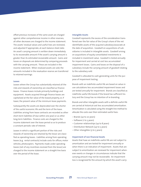offset previous increases of the same asset are charged against other comprehensive income in other reserves; all other decreases are charged to the income statement. The assets' residual values and useful lives are reviewed, and adjusted if appropriate, at each balance sheet date. An asset's carrying amount is written down immediately to its recoverable amount if the asset's carrying amount is greater than its estimated recoverable amount. Gains and losses on disposals are determined by comparing proceeds with the carrying amount. These are included in the income statement. When revalued assets are sold, the amounts included in the revaluation reserve are transferred to retained earnings.

#### **Leases**

Leases where the Group has substantially retained all the risks and rewards of ownership are classified as finance leases. Finance leases include primarily buildings and equipment. Assets acquired through finance leases are capitalized at the fair value of the leased property, or, if lower, the present value of the minimum lease payments.

Subsequently the assets are depreciated over the shorter of the useful economic life and the term of the lease. Liabilities arising from lease contracts are recorded as other short-term liabilities (if due within one year) or as other long-term liabilities. Finance costs are charged to the income statement over the lease period so as to produce a constant periodic rate of interest.

Leases in which a significant portion of the risks and rewards of ownership are retained by the lessor are classified as operating leases. Liabilities arising from operating leases (e.g. rental contracts) include costs for offices, motor vehicles, photocopiers. Payments made under operating leases (net of any incentives received from the lessor) are charged to the income statement on a straight-line basis over the period of the lease.

#### **Intangible Assets**

Goodwill represents the excess of the consideration transferred over the fair value of the Group's share of the net identifiable assets of the acquired subsidiary/associate at the date of acquisition. Goodwill on acquisitions of subsidiaries is included in intangible assets. Goodwill arising on acquisitions of equity consolidated investments is included in investment value. Goodwill is tested annually for impairment and carried at cost less accumulated impairment losses. Gains and losses on the disposal of a subsidiary include the carrying amount of goodwill relating to the subsidiary sold.

Goodwill is allocated to cash-generating units for the purpose of impairment testing.

Brands with an indefinite useful life are based on value-in use calculations less accumulated impairment losses and are tested annually for impairment. Brands are classified as indefinite useful life brands if the brand has sufficient history and the Group has no intention of re-branding.

Brands and other intangible assets with a definite useful life are carried at historical cost less accumulated amortization. Amortization is calculated using the straight-line method to allocate the costs over their estimated useful lives:

- Brands (up to 20 years)
- Software (1 to 3 years)
- Customer relationships (up to 8 years)
- Distribution Network (up to 5 years)
- Other intangibles (3 to 5 years)

#### **Impairment of non-financial Assets**

Assets that have an indefinite useful life are not subject to amortization and are tested for impairment annually or when there is an indication of impairment. Assets that are subject to amortization are reviewed for impairment whenever events or changes in circumstances indicate that the carrying amount may not be recoverable. An impairment loss is recognized for the amount by which the asset's carry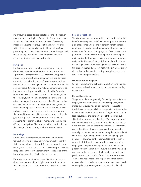ing amount exceeds its recoverable amount. The recoverable amount is the higher of an asset's fair value less costs to sell and value in use. For the purposes of assessing impairment, assets are grouped at the lowest levels for which there are separately identifiable cashflows (cash generating units). Non-financial assets other than goodwill that were impaired are reviewed for possible reversal of the impairment at each reporting date.

#### **Provisions**

Provisions arise from restructuring programmes, legal claims, and potential liabilities from normal operations. A provision is recognized in cases where the Group has a present legal or constructive obligation as a result of past events, it is probable that an outflow of resources will be required to settle the obligation and the amount can be reliably estimated. Severance and redundancy payments relating to restructuring are provided for when the Group has committed itself to such restructuring program mes, when the location, function and number of employees to be laid off or re-deployed is known and when the affected employees have been informed. Provisions are not recognized for future operating losses. In case the effect of time value is material, provisions are measured at the present value of the expenditures expected to be required to settle theobligation using a pretax rate that reflects current market assessments of the time value of money and the risks specific to the obligation. The increase in the provision due to the passage of time is recognized as interest expense.

#### **Borrowings**

Borrowings are recognized initially at fair value, net of transaction costs incurred. Borrowings are subsequently stated at amortized cost; any difference between the proceeds (net of transaction costs) and the redemption value is recognized in the income statement over the period of the borrowings using the effective interest method.

Borrowings are classified as current liabilities unless the Group has an unconditional right to defer settlement of the liability for at least 12 months after the balance sheet date.

#### **Pension Obligations**

The Group operates various defined contribution or defined benefit pension plans. A defined benefit plan is a pension plan that defines an amount of pension benefit that an employee will receive on retirement, usually dependent on one or more factors such as age, years of service and compensation. A defined contribution plan is a pension plan under which the Group pays fixed contributions into a separate entity. Under defined contribution plans the Group has no legal or constructive obligations to pay further contributions if the fund does not hold sufficient assets to pay all employees the benefits relating to employee service in the current and prior periods.

#### **Defined contribution plans**

Group contributions to defined contribution pension plans are recognized each year in the income statement as they become due.

#### **Defined benefit plans**

The pension plans are generally funded by payments from employees and by the relevant Group companies, determined by periodic actuarial calculations. The assets of funded plans are generally held in separate trustee-administered funds in accordance with local regulations. Due to local regulations the pension plans of the German subsidiaries have unfunded obligations. The present value of the defined benefit obligation of unfunded plans is recognized as a provision for employee benefits. For the significant defined benefit plans, pension costs are calculated annually by independent actuaries using the projected unit credit method, whereby the cost of providing employee pensions is allocated to the income statement in such a way as to distribute the cost over the service lives of the employees. The pension obligation is calculated as the present value of the estimated future cash outflows using government interest rates or high-quality corporate bond yields where a liquid market for such instruments exists. The Group's net obligation in respect of defined benefit pension plans is calculated separately for each plan. In calculating the Group's obligation in respect of a plan all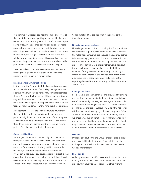cumulative net unrecognized actuarial gains and losses at the end of the previous reporting period outside the prescribed 10% corridor (the greater of 10% of the value of plan assets or 10% of the defined benefit obligation) are recognized in the income statement of the following year in which they occur. Where the calculation results in a benefit to the Group, the recognized asset is limited to the net total of any unrecognized actuarial losses and past service costs and the present value of any future refunds from the plan or reductions in future contributions to the plan.

The expected return on plan assets is determined by considering the expected returns available on the assets underlying the current investment policy.

#### **Executive Share Compensation Plan**

In April 2004, the Group established an equity compensation plan under the terms of which key management with a certain minimum service period may purchase restricted shares. After a restriction period of three years, participants may sell the shares back to Hero at a price based on a formula defined in the plan. In conjunction with the plan, participants may be granted loans to fund the share purchase.

Management assesses the estimated future payment at the end of the restriction period and the original purchase price annually, based on the actual result of the Group and expected future development of the business and records this difference as an expense over the respective vesting period. This plan was terminated during 2011.

#### **Contingent Liabilities**

A contingent liability is a possible obligation that arises from past events and whose existence will be confirmed only by the occurrence or non-occurrence of one or more uncertain future events not wholly within the control of the entity; or present obligation that arises from past events but is not recognized because: it is not probable that an outflow of resources embodying economic benefits will be required to settle the obligation; or the amount of the obligation cannot be measured with sufficient reliability.

Contingent liabilities are disclosed in the notes to the financial statements.

#### **Financial guarantee contracts**

Financial guarantee contracts issued by the Group are those contracts that require a payment to be made to reimburse the holder for an incurred loss because the specified debtor fails to make a payment when due in accordance with the terms of a debt instrument. Financial guarantee contracts are recognized initially as a liability at fair value, adjusted for transaction costs that are directly attributable to the issuance of the guarantee. Subsequently, the liability is measured at the higher of the best estimate of the expenditure required to settle the present obligation at the reporting date and the amount recognized less cumulative amortization.

#### **Earnings per Share**

Basic earnings per share amounts are calculated by dividing net profit for the year attributable to ordinary equity holders of the parent by the weighted average number of ordinary shares outstanding during the year. Diluted earnings per share amounts are calculated by dividing the net profit attributable to ordinary equity holders of the parent (after adjusting for interest on convertible instruments) by the weighted average number of ordinary shares outstanding during the year plus the weighted average number of ordinary shares that would be issued on conversion of all the dilutive potential ordinary shares into ordinary shares.

#### **Dividends**

Dividend distribution to the Group's shareholders is recognized as a liability in the Group's financial statements in the period in which the dividends are approved by the Group's shareholders.

#### **Share Capital**

Ordinary shares are classified as equity. Incremental costs directly attributable to the issue of new shares or options are shown in equity as a deduction, net of tax, from the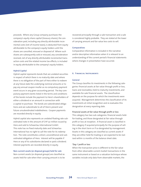proceeds. Where any Group company purchases the company's equity share capital (treasury shares), the consideration paid, including any directly attributable incremental costs (net of income taxes), is deducted from equity attributable to the company's equity holders until the shares are cancelled, reissued or disposed of. Where such shares are subsequently sold or reissued, any consideration received, net of any directly attributable incremental transaction costs and the related income tax effects, is included in equity attributable to the company's equity holders.

#### **Hybrid Capital**

Hybrid capital represents bonds that are undated securities in respect of which there is no maturity date and where there is no obligation of the part of Hero either to redeem at any future date the underlying nominal amounts or to pay any annual coupon insofar as no compulsory payment event occurs in any given accounting period. The key compulsory payment events listed in the terms and conditions of the bonds include the payment to Hero's shareholders of either a dividend or an amount in connection with a capital re-purchase. The bonds are subordinated obligations and are subordinate to all of Hero's present and future unsubordinated indebtedness. Coupon payments are recorded directly in equity.

Hybrid capital also represents an undated floating rate subordinated note in the amount of CHF 50 million issued by Hero and sold to Schwartau International GmbH. This note has no fixed maturity date and Schwartau International has no right to call the note for its redemption. The note consititutes a direct, unconditional and subordinated obligation of Hero. Interest will be payable if Hero or any of its subsidiaries declared or paid a dividend. Interest payments are recorded directly in equity.

#### **Non-current assets (or disposal groups) held for sale**

Non-current assets (or disposal groups) are classified as assets held for sale when their carrying amount is to be recovered principally through a sale transaction and a sale is considered highly probable. They are stated at the lower of carrying amount and fair value less costs to sell.

#### **Comparatives**

Comparative information is included in the narrative and/or descriptive information when it is relevant to an understanding of the current period's financial statements where changes in presentation have occurred.

#### **6. Financial Instruments**

#### **General**

The Group classifies its investments in the following categories: financial assets at fair value through profit or loss, loans and receivables, held-to-maturity investments, and available-for-sale financial assets. The classification depends on the purpose for which the investments were acquired. Management determines the classification of its investments at initial recognition and re-evaluates this designation at every reporting date.

#### **Financial assets at fair value through profit or loss**

This category has two sub-categories: financial assets heldfor-trading, and those designated at fair value through profit or loss at inception. A financial asset is classified in this category if acquired principally for the purpose of selling in the short term or if so designated by management. Assets in this category are classified as current assets if they are either held-for-trading or are expected to be realized within 12 months of the balance sheet date.

#### **'Day 1' profit or loss**

When the transaction price is different to the fair value from other observable current market transactions in the same instrument or based on a valuation technique whose variables include only data from observable markets, the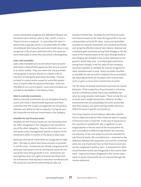Group immediately recognizes the difference between the transaction price and fair value (a 'Day 1' profit or loss) in 'finance income or expense'. In cases where fair value is determined using data which is not observable, the difference between the transaction price and model value is only recognized in the income statement when the inputs become observable, or when the instrument is derecognized.

#### **Loans and receivables**

Loans and receivables are non-derivative financial assets with fixed or determinable payments that are not quoted in an active market. They arise when the Group provides money, goods or services directly to a debtor with no intention of trading the associated receivable. They are included in current assets, except for maturities greater than 12 months after the balance sheet date. These are classified as non-current assets. Loans and receivables are included in receivables in the balance sheet.

#### **Held-to-maturity investments**

Held-to-maturity investments are non-derivative financial assets with fixed or determinable payments and fixed maturities that the Group's management has the positive intention and ability to hold to maturity. During the year the Group did not hold any investments in this category.

#### **Available-for-sale financial assets**

Available-for-sale financial assets are non-derivatives that are either designated in this category or not classified in any of the other categories. They are included in non-current assets unless management intends to dispose of the investment within 12 months of the balance sheet date.

Purchases and sale of investments are recognized on trade date – the date on which the Group commits to purchase or sell the asset. Investments are initially recognized at fair value plus transaction costs for all financial assets not carried at fair value through profit or loss. Investments are derecognized when the rights to receive cash flows from the investments have expired or have been transferred and the Group has transferred substantially all risks and

rewards of ownership. Available-for-sale financial assets and financial assets at fair value through profit or loss are subsequently carried at fair value. Loans and receivables and held-to-maturity investments are carried at amortized cost using the effective interest rate method. Realized and unrealized gains and losses arising from changes in the fair value of the financial assets at fair value through profit or loss category are included in the income statement in the period in which they arise. Unrealized gains and losses arising from changes in the fair value of non-monetary securities classified as available-for-sale are recognized in other comprehensive income. When securities classified as available-for-sale are sold or impaired, the accumulated fair value adjustments are included in the income statement as gains or losses from investments securities.

The fair values of quoted investments are based on current bid prices. If the market for a financial asset is not active (and for unlisted securities), the Group establishes fair value by using valuation techniques. These include the use of recent arm's-length transactions, reference to other instruments that are substantially the same, discounted cash flow analysis, and option pricing models refined to reflect the issuer's specific circumstances.

The Group assesses at each balance sheet date whether there is objective evidence that a financial asset or a group of financial assets is impaired. In the case of equity securities classified as available-for-sale, a significant or prolonged decline in the fair value of the security below its cost is considered in determining whether the securities are impaired. If any such evidence exists for available-forsale financial assets, the cumulative loss – measured as the difference between the acquisition cost and the current fair value, less any impairment loss on that financial asset previously recognized in profit or loss – is removed from other comprehensive income and recognized in the income statement. Impairment losses recognized in the income statement on equity instruments are not reversed through the income statement.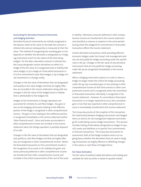#### **Accounting for Derivative Financial Instruments and Hedging Activities**

Derivative financial instruments are initially recognized in the balance sheet at fair value on the date the contract is entered into and are subsequently re-measured at their fair value. The method of recognizing the resulting gain or loss depends on whether the derivative is designated as a hedging instrument, and if so, the nature of the item being hedged. On the date a derivative contract is entered into, the Group designates certain derivatives as either (1) a hedge of the fair value of a recognized asset or liability (fair value hedge), or (2) a hedge of a forecasted transaction or of a firm commitment (cash flow hedge), or (3) a hedge of a net investment in a foreign entity.

Changes in the fair value of derivatives that are designated and qualify as fair value hedges and that are highly effective, are recorded in the income statement, along with any changes in the fair value of the hedged asset or liability that is attributable to the hedged risk.

Hedges of net investments in foreign operations are accounted for similarly to cash flow hedges. Any gain or loss on the hedging instrument relating to the effective portion of the hedge is recognized in other comprehensive income. The gain or loss relating to the ineffective portion is recognized immediately in the income statement within 'other financial result'. Gains and losses accumulated in other comprehensive income are included in the income statement when the foreign operation is partially disposed of or sold.

Changes in the fair value of derivatives that are designated and qualify as cash flow hedges and that are highly effective, are recognized in other comprehensive income. Where the forecasted transaction or firm commitment results in the recognition of an asset or of a liability, the gains and losses previously deferred in other comprehensive income are transferred from other comprehensive income and included in the initial measurement of the cost of the asset or liability. Otherwise, amounts deferred in other comprehensive income are transferred to the income statement and classified as revenue or expense in the same periods during which the hedged firm commitment or forecasted transaction affects the income statement.

Certain derivative transactions, while providing effective economic hedges under the Group's risk management policies, do not qualify for hedge accounting under the specific rules in IAS 39. Changes in the fair value of any derivative instruments that do not qualify for hedge accounting under IAS 39 are recognized immediately in the income statement.

When a hedging instrument expires or is sold, or when a hedge no longer meets the criteria for hedge accounting under IAS 39, any cumulative gain or loss existing in other comprehensive income at that time remains in other comprehensive income and is recognized, when the committed or forecasted transaction ultimately is recognized in the income statement. However, if a committed or forecasted transaction is no longer expected to occur, the cumulative gain or loss that was reported in other comprehensive in come is immediately transferred to the income statement.

The Group documents at the inception of the transaction the relationship between hedging instruments and hedged items, as well as its risk management objective and strategy for undertaking various hedge transactions. This process includes linking all derivatives designated as hedges to specific assets and liabilities or to specific firm commitments or forecast transactions. The Group also documents its assessment, both at the hedge inception and on an ongoing basis, whether the derivatives that are used in hedging transactions are highly effective in offsetting changes in fair values or cash flows of hedged items.

#### **Fair Value Estimation**

The fair value of publicly traded derivatives and trading and available-for-sale securities is based on quoted market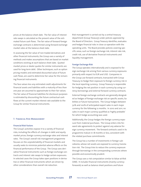prices at the balance sheet date. The fair value of interest rate swaps is calculated as the present value of the estimated future cash flows. The fair value of forward foreign exchange contracts is determined using forward exchange market rates at the balance sheet date.

In assessing the fair value of non-traded derivatives and other financial instruments, the Group uses a variety of methods and makes assumptions that are based on market conditions existing at each balance sheet date. Quoted market prices or dealer quotes for similar instruments are used for long-term debt. Other techniques, such as option pricing models and estimated discounted value of future cash flows, are used to determine fair value for the remaining financial instruments.

The face values less any estimated credit adjustments for financial assets and liabilities with a maturity of less than one year are assumed to approximate to their fair values. The fair value of financial liabilities for disclosure purposes is estimated by discounting the future contractual cash flows at the current market interest rate available to the Group for similar financial instruments.

#### **7. Financial Risk Management**

#### **Financial Risk Factors**

The Group's activities expose it to a variety of financial risks, including the effects of: changes in debt and equity market prices, foreign currency exchange rates and interest rates. The Group's overall risk management programme focuses on the unpredictability of financial markets and usually seeks to minimize potential adverse effects on the financial performance of the Group. The Group uses derivative financial instruments such as foreign exchange contracts and interest rate swaps to hedge certain exposures. In selected cases the Group takes open positions in derivative or other financial instruments which are driven by other considerations than overall risk reduction.

Risk management is carried out by a central treasury department (Group Treasury) under policies approved by the Board of Directors. Group Treasury identifies, evaluates and hedges financial risks in close co-operation with the operating units. The Board provides policies covering spe cific areas, such as foreign exchange risk, interest rate risk, credit risk, use of derivative financial instruments and liquidity management.

#### **Foreign Exchange Risk**

The Group operates internationally and is exposed to foreign exchange risk arising from various currency exposures primarily with respect to EUR and USD. Companies in the Group use forward contracts, transacted with Group Treasury, to hedge their exposure to foreign currency risk in the local reporting currency. Group Treasury is responsible for hedging the net position in each currency by using currency borrowings and external forward currency contracts.

External foreign exchange contracts are generally designated as hedges of foreign exchange risk on specific assets, liabilities or future transactions. The Group hedges between 50% and 100% of anticipated export sales in each major currency for the following 12 months. In 2010 and 2011, no sales in each major currency qualified as 'highly probable' for which hedge accounting was used.

Additionally, the Group hedges the foreign currency exposure from material purchases. The Group enters into forward rate agreements to protect against any adverse foreign currency movement. The forward contracts used in its programme mature in 18 months or less, consistent with the related purchase commitments.

The Group has a number of investments in foreign subsidiaries, whose net assets are exposed to currency translation risk. The Group tries to reduce the currency exposure through borrowings in the corresponding currencies where possible and economically prudent.

The Group uses a risk computation similar to Value-at-Risk (VAR). It includes financial instruments (mainly currency forwards) as well as balance sheet positions and future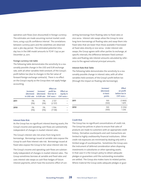operative cash flows (non-discounted) in foreign currency. The estimates are made assuming normal market conditions, using a 97.7% confidence interval. The correlations between currency pairs and the volatilities are observed over a 360 day period. The estimated potential intraday loss in the VAR model amounts to TCHF 1'297 as per December 31, 2011.

#### **Foreign currency risk table**

The following table demonstrates the sensitivity to a reasonably possible change in the USD and EUR exchange rate, with all other variables held constant, of the Group's profit before tax (due to changes in the fair value of forward foreign exchange contracts). There is no effect on the Group's equity as the Group does not apply hedge accounting.

|      | Increase/<br>(decrease) | Increase/<br>(decrease) | <b>Effect on</b><br>profit be-<br>fore tax in<br>in USD rate in EUR rate CHF 1000 .- CHF 1000 .- | <b>Effect on</b><br>equity in |
|------|-------------------------|-------------------------|--------------------------------------------------------------------------------------------------|-------------------------------|
| 2011 | 5%<br>(5%)              | 5%<br>(5%)              | 2727<br>(2727)                                                                                   |                               |
| 2010 | 5%<br>(5%)              | 5%<br>(5%)              | 1706<br>(7138)                                                                                   |                               |

#### **Interest Rate Risk**

As the Group has no significant interest-bearing assets, the Group's income and operating cash flows are substantially independent of changes in market interest rates.

The Group's interest rate risk arises from long-term borrowings. Borrowings issued at variable rates expose the Group to cash flow interest rate risk. Borrowings issued at fixed rates expose the Group to fair value interest rate risk.

The Group's income and operating cash flows are substantially independent of changes in market interest rates. The Group sometimes borrows at variable and fixed rates and uses interest rate swaps as cash flow hedges of future interest payments, which have the economic effect of converting borrowings from floating rates to fixed rates or vice-versa. Interest rate swaps allow the Group to raise long- term borrowings at floating rates and swap them into fixed rates that are lower than those available if borrowed at fixed rates directly or vice versa. Under interest rate swaps, the Group agrees with other parties to exchange, at specific intervals, the difference between fixed contract rates and floating rate interest amounts calculated by reference to the agreed notional principal amounts.

#### **Interest Rate Risk Table**

The following table demonstrates the sensitivity to a reasonably possible change in interest rates, with all other variables held constant, of the Group's profit before tax (through the impact on floating rate borrowings).

|      | Increase/<br>(decrease)<br>in basis<br>points | <b>Effect</b><br>on profit<br>before tax in<br><b>CHF 1000 .-</b> |
|------|-----------------------------------------------|-------------------------------------------------------------------|
| 2011 | 100<br>(100)                                  | (1900)<br>1875                                                    |
| 2010 | 100<br>(100)                                  | (1256)<br>1256                                                    |

#### **Credit Risk**

The Group has no significant concentrations of credit risk. The Group has policies in place to ensure that sales of products are made to customers with an appropriate credit history. Derivative counterparts and cash transactions are limited to highly creditworthy financial institutions. Other credit risk exposures are minimized by dealing only with a limited range of counterparties. Sometimes the Group uses the instrument of deferred consideration when disposing investments in subsidiaries or other operating assets. In that case it is the Group's policy to obtain adequate pledges or guarantees until the outstanding receivables are settled. The Group also makes loans to related parties. Where material the Group seeks adequate pledges or guar-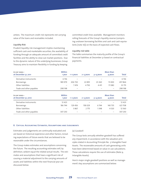antees. The maximum credit risk represents net carrying value of the loans and receivables included.

#### **Liquidity Risk**

Prudent liquidity risk management implies maintaining sufficient cash and marketable securities, the availability of funding through an adequate amount of committed credit facilities and the ability to close out market positions. Due to the dynamic nature of the underlying businesses, Group Treasury aims to maintain flexibility in funding by keeping

committed credit lines available. Management monitors rolling forecasts of the Group's liquidity reserve (comprising undrawn borrowing facilities and cash and cash equivalents [note 16]) on the basis of expected cash flows.

#### **Liquidity risk table**

The table summarises the maturity profile of the Group's financial liabilities at December 31 based on contractual payments.

| in CHF 1000.-            | Within   |                      |               |               | More than                          |                             |
|--------------------------|----------|----------------------|---------------|---------------|------------------------------------|-----------------------------|
| at December 31, 2011     | 1 year   | $1 - 2$ years        | $2 - 3$ years | $3 - 4$ years | 4 years                            | <b>Total</b>                |
| Derivative instruments   | 6 15 6   |                      |               |               |                                    | 6 15 6                      |
| <b>Borrowings</b>        | 189 979  | 206 730              | 22895         | 23 260        | 15 000                             | 457864                      |
| Other liabilities        |          | 7474                 | 4750          | 4 4 1 1       | 17 080                             | 33 715                      |
| Trade and other payables | 298 198  |                      |               |               | —                                  | 298 198                     |
| in CHF 1000.-            | Within   |                      |               |               | More than                          |                             |
| at December 31, 2010     | 1 year   | $1 - 2$ years        | $2 - 3$ years | $3 - 4$ years | 4 years                            | <b>Total</b>                |
| Derivative instruments   | 12 4 23  |                      |               |               |                                    | 12 4 23                     |
|                          | $\cdots$ | $\sim$ $\sim$ $\sim$ | $-0.000$      | $- - - -$     | $\sim$ $\sim$ $\sim$ $\sim$ $\sim$ | $\sim$ $\sim$ $\sim$ $\sim$ |

Borrowings 186 744 129 456 158 029 6 744 140 735 621 708 Other liabilities – 3 867 2 775 1 398 4 520 12 560 Trade and other payables 307 250 – – – – 307 250

#### **8. Critical Accounting Estimates, Assumptions 8. Critical Accounting Estimates, Assumptions and Judgements**

Estimates and judgements are continually evaluated and are based on historical experience and other factors, including expectations of future events that are believed to be reasonable under the circumstances.

The Group makes estimates and assumptions concerning the future. The resulting accounting estimates will, by definition, seldom equal the related actual results. The estimates and assumptions that have a significant risk of causing a material adjustment to the carrying amounts of assets and liabilities within the next financial year are discussed below:

#### (a) Goodwill

The Group tests annually whether goodwill has suffered any impairment, in accordance with the valuation principles stated in Accounting Principle No. 5 Intangible Fixed Assets. The recoverable amounts of cash-generating units have been determined based on value-in-use calculations. These calculations require the use of estimates (Note 9, Intangible Assets).

Hero's major single goodwill positions as well as management's key assumptions are summarized below: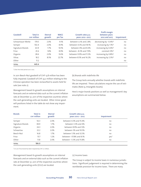| Goodwill          | <b>Total</b> in<br><b>CHF</b> million | <b>Eternal</b><br>growth | <b>WACC</b><br>pre Tax | Growth rates p.a.<br>years 2012-2017 | Profit margin<br>between years<br>2012 and 2017 | Impairment |
|-------------------|---------------------------------------|--------------------------|------------------------|--------------------------------------|-------------------------------------------------|------------|
| Schwartauer Werke | 179.5                                 | 2.0%                     | 9.1%                   | between 0.1% and 2.8%                | decreasing by $-0.4\%$ <sup>*</sup> )           | no         |
| Semper            | 102.4                                 | 2.0%                     | 8.9%                   | between 4.3% and 18.1%               | increasing by $1.1\%$ <sup>*)</sup>             | no         |
| Signature Brands  | 63.9                                  | 1.7%                     | 10.1%                  | between 4% and 8.4%                  | increasing by 0.4%*)                            | no         |
| Friso             | 41.6                                  | 1.8%                     | 8.9%                   | between $-8.3\%$ and 7.9%            | constant 0%*)                                   | no         |
| Organix           | 28.6                                  | 2.0%                     | 9.6%                   | between 9.9% and 11.3%               | increasing by 0.8%*)                            | no         |
| Vitrac            | 18.2                                  | 8.5%                     | 22.7%                  | between 8.5% and 16.2%               | increasing by 2.3%*)                            | no         |
| Other             | 11.2                                  |                          |                        |                                      |                                                 | no         |
| <b>TOTAL</b>      | 445.4                                 |                          |                        |                                      |                                                 |            |

\*) Over the total period 2012–2017.

In 2011 Beech-Nut goodwill of CHF 13.8 million has been fully impaired. Goodwill of CHF 33.2 million relating to the Chinese operation has been reclassified to assets held for sale (see note 2).

Management based its growth assumptions on internal forecasts and on external data such as the current inflation rate at December 31, 2011 of the respective countries where the cash generating units are located. Other minor goodwill positions listed in the table do not show any impairment.

(b) Brands with indefinite life

The Group tests annually whether brands with indefinite life are impaired. These calculations require the use of estimates (Note 9, Intangible Assets).

Hero's major brands positions as well as management's key assumptions are summarized below:

| <b>Brands</b>    | <b>Total in</b><br><b>CHF</b> million | <b>Eternal</b><br>growth | Growth rates p.a.<br>years 2012 - 2017 | Impairment        |
|------------------|---------------------------------------|--------------------------|----------------------------------------|-------------------|
| Semper           | 56.3                                  | 2.0%                     | between 4.3% and 15.4%                 | no                |
| Signature Brands | 38.9                                  | 1.7%                     | between 3.3% and 4%                    | no                |
| Organix          | 24.3                                  | 2.0%                     | between 8.9% and 12%                   | no                |
| Schwartau        | 22.2                                  | 2.0%                     | between 3% and 10.5%                   | no                |
| Beech-Nut        | 16.8                                  | 1.7%                     | between 1.5% and 32.5%                 | no                |
| Friso            | 15.7                                  | 1.2%                     | between -37.8% and 8.1%                | yes <sup>*)</sup> |
| Other            | 11.8                                  | 2.0%                     | between $-3.3\%$ and 15.8%             | no                |
| <b>TOTAL</b>     | 186.0                                 |                          |                                        |                   |

\*) In 2011 Friso brand has been impaired by CHF 0.1 million.

Management based its growth assumptions on internal forecasts and on external data such as the current inflation rate at December 31, 2011 of the respective countries where the cash generating units (CGU) are located.

#### (c) Income taxes

The Group is subject to income taxes in numerous jurisdictions. Significant judgement is required in determining the worldwide provision for income taxes. There are many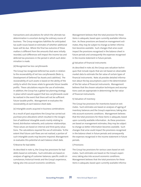transactions and calculations for which the ultimate tax determination is uncertain during the ordinary course of business. The Group recognizes liabilities for anticipated tax audit issues based on estimates of whether additional taxes will be due. Where the final tax outcome of these matters is different from the amounts that were initially recorded, such differences will impact the income tax and deferred tax provisions in the period in which such determination is made.

#### (d) Recognized tax loss carryforwards

The Group has recognized deferred tax assets in relation to the recoverability of net loss carryforwards (Note 13, Development of Deferred Tax Assets and Liabilities). The recoverability of such assets is based on the ability of the entity to which the losses relate to generate future taxable profits. These calculations require the use of estimates. In addition, the Group has a global tax planning strategy in place which would support that loss carryforwards could be realized in the event that there will not be sufficient future taxable profits. Management re-evaluates the recoverability at each balance sheet date.

#### (e) Intangible assets acquired in business combinations

As a result of past acquisitons the Group has carried out purchase price allocations which resulted in the recognition of additional intangible assets mainly relating to brand, distribution networks, and customer relationships. These values are based on internal and third-party valuations. The calculations required the use of estimates. To the extent that future cash flows are not realized, a portion of such intangible assets may become impaired. Management re-evaluates this potential at each balance sheet date.

#### f) Reserve for bad debts

As described in note 15, the Group has provisions for bad debts based on estimates. Such estimates are based on analyses of ageing of customer balances, specific credit circumstances, historical trends and the Group's experience, taking also into account economic conditions.

Management believes that the total provision for these items is adequate, based upon currently available information. As these provisions are based on management estimates, they may be subject to change as better information becomes available. Such changes that arise could impact the provisions recognised in the balance sheet in future periods and consequently the expenses recognised in the income statement in future periods.

#### g) Valuation of financial instruments

As described in note 26, the Group uses valuation techniques that include inputs that are not based on observable market data to estimate the fair value of certain types of financial instruments. Note 26 provides detailed information about the key assumptions used in the determination of the fair value of financial instruments. Management believes that the chosen valuation techniques and assumptions used are appropriate in determining the fair value of financial instruments.

#### h) Valuation of inventory

The Group has provisions for inventories based on estimates. Such estimates are based on analyses of ageing of inventory balances and the Group's experience, taking also into account economic conditions. Management believes that the total provisions for these items is adequate, based upon currently available information. As these provisions are based on management estimates, they may be subject to change as better information becomes available. Such changes that arise could impact the provisions recognised in the balance sheet in future periods and consequently the expenses recognised in the income statement in future periods.

#### i) Provisions

The Group has provisions for various cases based on estimates. Such estimates are based on the Group's experience, taking also into account economic conditions. Management believes that the total provisions for these items is adequate, based upon currently available informa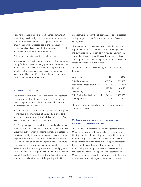tion. As these provisions are based on management estimates, they may be subject to change as better information becomes available. Such changes that arise could impact the provisions recognised in the balance sheet in future periods and consequently the expenses recognised in the income statement in future periods.

j) Non-current assets classified as held for sale

Management has started activities to sell certain manufacturing facilities. Based on mangagement's assessment the assets have been classified as held for sale (see note 2). Should the transaction not take place within one year, the assets would be reclassified out of held for sale and into current and non-current balances.

#### **9. Capital Management**

The primary objective of the Group's capital management is to ensure that it maintains a strong credit rating and healthy capital ratios in order to support its business and maximize shareholder value.

In connection with external financing the Group is required to maintain a minimum level of net equity. During 2011 and 2010 the Group complied with this requirement. See also comments in Note 18 on "Covenants".

The Group manages its capital structure and makes adjustments to it, in light of changes in economic conditions. The Group's objectives when managing capital are to safeguard the Group's ability to continue as a going concern in order to provide returns for shareholders and benefits for other stakeholders and to maintain an optimal capital structure to reduce the cost of capital. To maintain or adjust the capital structure, the Group may adjust the dividend payment to shareholders, return capital to shareholders or issue new capital. Consistent with others in the industry, the Group monitors capital on the basis of the gearing ratio. No

changes were made in the objectives, policies or processes during the years ended December 31, 2011 and December 31, 2010.

This gearing ratio is calculated as net debt divided by total capital. Net debt is calculated as total borrowings (including 'current and non-current borrowings' as shown in the consolidated balance sheet) less cash and cash equivalents. Total capital is calculated as 'equity' as shown in the consolidated balance sheet plus net debt.

The gearing ratios at December 31, 2011 and 2010 were as follows:

| <b>IN CHF 1000.-</b>                 | 2011    | 2010     |
|--------------------------------------|---------|----------|
| Total borrowings                     | 457864  | 516 508  |
| Less: cash and cash equivalents      | (82736) | (197383) |
| Net debt                             | 375 128 | 319 125  |
| <b>Total Equity</b>                  | 986 013 | 984 301  |
| Total Capital (Equity plus net debt) | 1361141 | 1303426  |
| Gearing ratio                        | 28%     | 24%      |
|                                      |         |          |

There was no significant change to the gearing ratio 2011 compared to 2010.

#### **10. Risk Management disclosure in accordance with Swiss code of obligations**

The Group has implemented a risk management system. Management carries out an annual risk assessment to identify material risks including their probability of occurrence and impact on the Group. The Board of Directors takes appropriate measures to avoid, mitigate or transfer these risks. Risks which are not mitigated are closely monitored by the Group. The latest risk assessment by the Board of Directors was approved in December 2011. Management may take ad-hoc initiatives in order to ensure a timely response to changes in the risk environment.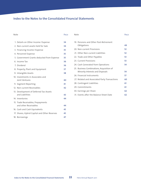# **Index to the Notes to the Consolidated Financial Statements**

Note Page Note Page Page Page Page Page Page

| 1. Details on Other Income / Expense                | 34 |
|-----------------------------------------------------|----|
| 2. Non-current assets held for Sale                 | 34 |
| 3. Financing Income / Expense                       | 35 |
| 4. Personnel Expense                                | 35 |
| 5. Government Grants deducted from Expense          | 35 |
| 6. Income Tax                                       | 36 |
| 7. Dividend                                         | 36 |
| 8. Property, Plant and Equipment                    | 37 |
| 9. Intangible Assets                                | 38 |
| 10. Investments in Associates and<br>Joint Ventures | 40 |
|                                                     | 41 |
| 11. Segment Reporting                               |    |
| 12. Non-current Receivables                         | 42 |
| 13. Development of Deferred Tax Assets              |    |
| and Liabilities                                     | 43 |
| 14. Inventories                                     | 44 |
| 15. Trade Receivables, Prepayments                  |    |
| and other Receivables                               | 44 |
| 16. Cash and Cash Equivalents                       | 45 |
| 17. Shares, Hybrid Capital and Other Reserves       | 45 |
| 18. Borrowings                                      | 47 |
|                                                     |    |

| 19. Pensions and Other Post-Retirement<br>Obligations                         | 49 |
|-------------------------------------------------------------------------------|----|
| 20. Non-current Provisions                                                    | 52 |
| 21. Other Non-current Liabilities                                             | 52 |
| 22. Trade and Other Payables                                                  | 53 |
| 23. Current Provisions                                                        | 53 |
| 24. Cash Generated from Operations                                            | 54 |
| 25. Business Combinations, Acquisition of<br>Minority Interests and Disposals | 54 |
| 26. Financial Instruments                                                     | 57 |
| 27. Related and Associated Party Transactions                                 | 60 |
| 28. Contingent Liabilities                                                    | 61 |
| 29. Commitments                                                               | 61 |
| 30. Earnings per Share                                                        | 62 |
| 31. Events after the Balance Sheet Date                                       | 62 |
|                                                                               |    |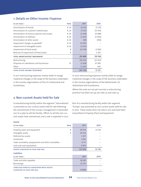# **1. Details on Other Income / Expense**

| <b>in CHF 1000.-</b>                          | <b>Note</b> | 2011     | 2010     |
|-----------------------------------------------|-------------|----------|----------|
| Amortization of brands                        | 9,24        | (6 421)  | (3 375)  |
| Amortization of customer relationships        | 9,24        | (11911)  | (13595)  |
| Amortization of licences, patents and recipes | 9,24        | (3658)   | (4088)   |
| Amortization of software                      | 9,24        | (2 205)  | (2066)   |
| Amortization of other assets                  | 9, 24       | (98)     | (594)    |
| Impairment charges on goodwill                | 9, 24       | (13 831) |          |
| Impairment of intangible assets               | 9, 24       | (3042)   |          |
| Impairment of fixed assets                    | 8           | (14318)  | (1083)   |
| Reversal of impairment of fixed assets        | 8           |          | 5 2 4 5  |
| <b>TOTAL AMORTIZATION / IMPAIRMENT</b>        |             | (55 484) | (19556)  |
| Restructuring                                 |             | (30253)  | (27623)  |
| Disposals of subsidiaries and businesses      | 25          | (2428)   | 61789    |
| Other                                         |             | (2593)   | 645      |
| TOTAL OTHER INCOME / (EXPENSE)                |             | (90 758) | 15 2 5 5 |

In 2011 restructuring expenses mainly relate to reorganizational changes in the scope of the business undertaken in the country organizations of the US, Switzerland and Scandinavia.

In 2010 restructuring expenses mainly relate to reorganizational changes in the scope of the business undertaken in the country organizations of the Netherlands, US, Switzerland and Scandinavia.

Where the costs are not yet incurred, a restructuring provision has been set up, see note 20 and note 23.

# **2. Non-current Assets held for Sale**

**Assets**

A manufacturing facility within the segment "International" is presented as non-current assets held for sale following the commitment of the Group's management in December 2011 to a plan to sell the facility. Efforts to sell the non-current assets have commenced, and a sale is expected in 2012. Part of a manufacturing facility within the segment "Europe" was presented as non-current assets held for sale in 2010. These assets were not sold in 2011 and have been reclassified to Property, Plant and Equipment.

| in CHF 1000.-                                                                            | <b>Note</b> | 2011     | 2010   |
|------------------------------------------------------------------------------------------|-------------|----------|--------|
| Property, plant and equipment                                                            | 8           | 96 554   | 32 518 |
| Intangible assets                                                                        | 9           | 34 0 34  |        |
| Deferred tax assets                                                                      |             | 3 2 0 7  |        |
| Inventories                                                                              |             | 1066     |        |
| Trade receivables, prepayments and other receivables                                     |             | 12 171   |        |
| Cash and cash equivalents                                                                |             | 8876     |        |
| <b>ASSETS CLASSIFIED AS HELD FOR SALE</b>                                                |             | 155 908  | 32 518 |
| <b>Liabilities</b>                                                                       |             |          |        |
| in CHF 1000.-                                                                            |             | 2011     | 2010   |
| Trade and other payables                                                                 |             | 28 2 8 5 |        |
| <b>Borrowings</b>                                                                        |             | 43 574   |        |
| <b>LIABILITIES DIRECTLY ASSOCIATED WITH ASSETS</b><br><b>CLASSIFIED AS HELD FOR SALE</b> |             | 71859    |        |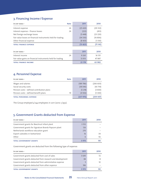# **3. Financing Income / Expense**

| $\overline{1}$ n CHF 1000.-                                 | <b>Note</b> | 2011     | 2010     |
|-------------------------------------------------------------|-------------|----------|----------|
| Interest expense                                            | 24          | (25 420) | (29332)  |
| Interest expense - finance leases                           | 24          | (222)    | (453)    |
| Net foreign exchange losses                                 |             | (5448)   | (23 220) |
| Fair value losses on financial instruments held for trading |             | (34330)  | (16806)  |
| Other financial expense                                     |             | (8405)   | (1330)   |
| <b>TOTAL FINANCE EXPENSE</b>                                |             | (73825)  | (71141)  |
|                                                             |             |          |          |
| in CHF 1000.-                                               |             | 2011     | 2010     |

| Interest income                                            | 74 | 9 2 6 5 | 16 135 |
|------------------------------------------------------------|----|---------|--------|
| Fair value gains on financial instruments held for trading |    | 13 913  | 47 847 |
| <b>TOTAL FINANCE INCOME</b>                                |    | 23 178  | 63 982 |

# **4. Personnel Expense**

| in CHF 1000.-                              | <b>Note</b> | 2011      | 2010      |
|--------------------------------------------|-------------|-----------|-----------|
| Wages and salaries                         |             | (189 786) | (206 603) |
| Social security costs                      |             | (38046)   | (43 714)  |
| Pension costs - defined contribution plans |             | (5218)    | (3830)    |
| Pension costs - defined benefit plans      | 19          | (4926)    | (5300)    |
| <b>TOTAL PERSONNEL EXPENSE</b>             |             | (237976)  | (259 447) |

The Group employed 4'144 employees in 2011 (2010: 3'952).

# **5. Government Grants deducted from Expense**

| $in$ CHF 1000. $-$                                   | 2011    | 2010 |
|------------------------------------------------------|---------|------|
| Government grants for Beechnut Infant plant          | 3 5 5 2 |      |
| Government grants for Signature Brands Popcorn plant | 126     |      |
| Netherlands workforce education grant                | 270     |      |
| Export subsidies in Switzerland                      | 16      | 34   |
| Other                                                | 6       | 56   |
| <b>TOTAL GOVERNMENT GRANTS</b>                       | 3 9 7 0 | 90   |

Government grants are deducted from the following type of expense:

| in CHF 1000.-                                            | 2011    | 2010 |
|----------------------------------------------------------|---------|------|
| Government grants deducted from cost of sales            | 3 6 9 5 | 72   |
| Government grants deducted from research and development | 84      |      |
| Government grants deducted from administative expense    |         | 10   |
| Government grants deducted from other expence            | 186     |      |
| <b>TOTAL GOVERNMENT GRANTS</b>                           | 3 9 7 0 | 90   |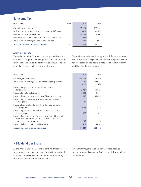## **6. Income Tax**

| in CHF 1000.-                                           | <b>Note</b> | 2011    | 2010     |
|---------------------------------------------------------|-------------|---------|----------|
| Current income tax expense                              |             | (13929) | (20 263) |
| Deferred tax (expense) / income - temporary differences |             | 8 4 1 7 | (41881)  |
| Deferred tax income - tax loss                          |             | 38 204  | 9 5 5 7  |
| Deferred tax income – changes in tax rates and tax laws |             | 423     |          |
| Tax income / (expense) relating to prior periods        |             | 1032    | (755)    |
| TOTAL INCOME TAX INCOME / (EXPENSE)                     | 24          | 34 147  | (53 342) |

### **Analysis of tax rate**

The variation in the Group's average expected tax rate is caused by changes in volumes, product mix and profitability of the Group's subsidiaries in the various jurisdictions, as well as changes in local statutory tax rates.

The main elements contributing to the difference between the Group's overall expected tax rate (the weighted average tax rate based on the results before tax of each subsidiary) and the effective tax expense are:

| in CHF 1000.-                                                                                                 | 2011              | 2010             |
|---------------------------------------------------------------------------------------------------------------|-------------------|------------------|
| Income / (loss) before taxes                                                                                  | (36 584)          | 195 810          |
| Tax income / (expense) based on expected group tax rate                                                       | 11 3 0 0<br>30.9% | (41944)<br>21.4% |
| Impact of expense not entitled for deduction<br>for tax purposes                                              | (2729)            | (13923)          |
| Impact of non taxable income                                                                                  | 27 613            | 1683             |
| Impact of tax expense related to profits of other periods                                                     | 1032              | (3050)           |
| Impact of past losses, for which no deferred tax asset<br>is recognized                                       | 19                | 68               |
| Impact of current loss, for which no deferred tax asset<br>is recognized                                      | (673)             | (425)            |
| Impact of past losses, for which a deferred tax asset<br>is recognized                                        | (2572)            | 169              |
| Impact of past tax losses, for which no deferred tax assets<br>have been recognized, but which are reassessed |                   |                  |
| and released in current period                                                                                | (266)             | 18               |
| Impact of changes in the local tax rates                                                                      | 423               | 4 0 6 2          |
| EFFECTIVE GROUP TAX INCOME/(EXPENSE)                                                                          | 34 147            | (53 342)         |

## **7. Dividend per Share**

At the Annual General Meeting in 2011, no dividend is to be proposed in respect of 2011. The dividend declared in respect of 2010 was CHF 6.00 per share amounting to a total dividend of CHF 30.9 million.

On February 10, 2012 the Board of Directors resolved to pay the annual coupon of 6.5% on the CHF 500 million Hybrid Bond.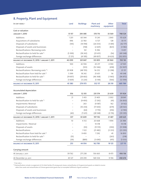# **8. Property, Plant and Equipment**

| in CHF 1000.-                                      | Land                     | <b>Buildings</b> | <b>Plant and</b><br>machinery | Other<br>equipment       | <b>Total</b> |
|----------------------------------------------------|--------------------------|------------------|-------------------------------|--------------------------|--------------|
| Cost or valuation                                  |                          |                  |                               |                          |              |
| <b>JANUARY 1, 2010</b>                             | 51 157                   | 293 085          | 370 713                       | 33 569                   | 748 524      |
| Additions                                          | 1 2 0 1                  | 60 344           | 51 241                        | 2843                     | 115 629      |
| Acquisitions of subsidiaries                       | 496                      | 22 760           | 6727                          | 128                      | 30 111       |
| Disposals of subsidiaries                          | (145)                    | (14918)          | (26033)                       | (1081)                   | (42177)      |
| Disposals of assets and businesses                 |                          | (158)            | (2601)                        | (823)                    | (3582)       |
| Reclassifications / Borrowing costs                |                          | 161              | 9 2 9 6                       | $\overline{\phantom{0}}$ | 9 4 5 7      |
| Reclassification to held for sale <sup>*</sup> )   | (5399)                   | (18242)          | (25651)                       | (56)                     | (49348)      |
| Foreign exchange differences                       | (7 211)                  | (41185)          | (49837)                       | (4620)                   | (102853)     |
| BALANCE AT DECEMBER 31, 2010 / JANUARY 1, 2011     | 40 099                   | 301847           | 333 855                       | 29 960                   | 705 761      |
| Additions                                          | 500                      | 42 5 94          | 20 217                        | 4590                     | 67901        |
| Disposals of assets                                |                          | (103)            | (52346)                       | (458)                    | (52907)      |
| Reclassifications / Borrowing costs**)             | 20 908                   | (48705)          | 56 252                        | (3 298)                  | 25 157       |
| Reclassification from held for sale <sup>*</sup> ) | 5399                     | 18 24 2          | 25 651                        | 56                       | 49 348       |
| Reclassification to held for sale <sup>*</sup> )   | (19857)                  | (28682)          | (46368)                       | (1965)                   | (96 872)     |
| Foreign exchange differences                       | (1669)                   | (5 220)          | (5144)                        | (566)                    | (12599)      |
| <b>BALANCE AT DECEMBER 31, 2011</b>                | 45 3 8 0                 | 279 973          | 332 117                       | 28 319                   | 685 789      |
| Accumulated depreciation                           |                          |                  |                               |                          |              |
| <b>JANUARY 1, 2010</b>                             | 356                      | 52 355           | 235 574                       | 23 639                   | 311 924      |
| Additions                                          | 21                       | 5 4 1 3          | 21 4 0 5                      | 2002                     | 28 841       |
| Reclassification to held for sale <sup>*</sup> )   |                          | (9493)           | (7292)                        | (45)                     | (16830)      |
| Impairments / Reversal                             |                          | 263              | (4587)                        | 162                      | (4162)       |
| Disposals of subsidiaries                          | $\overline{\phantom{0}}$ | (10234)          | (17650)                       | (679)                    | (28563)      |
| Disposals of assets and businesses                 | $\qquad \qquad -$        | (64)             | (1710)                        | (416)                    | (2190)       |
| Foreign exchange differences                       | (40)                     | (7631)           | (28548)                       | (3176)                   | (39395)      |
| BALANCE AT DECEMBER 31, 2010 / JANUARY 1, 2011     | 337                      | 30 609           | 197 192                       | 21487                    | 249 625      |
| Additions                                          | 10                       | 4 3 1 2          | 20 6 68                       | 1994                     | 26 984       |
| Impairments / Reversal                             |                          |                  | 14 3 18                       |                          | 14 3 18      |
| Disposals of assets                                |                          | (93)             | (51 515)                      | (390)                    | (51998)      |
| Reclassifications                                  |                          | 1522             | (21482)                       | (3333)                   | (23 293)     |
| Reclassification from held for sale <sup>*)</sup>  |                          | 9 4 9 3          | 7 2 9 2                       | 45                       | 16 8 30      |
| Reclassification to held for sale <sup>*</sup> )   | (55)                     |                  |                               | (263)                    | (318)        |
| Foreign exchange differences                       | (39)                     | (889)            | (3690)                        | (415)                    | (5033)       |
| <b>BALANCE AT DECEMBER 31, 2011</b>                | 253                      | 44 954           | 162 783                       | 19 12 5                  | 227 115      |
| Carrying amount                                    |                          |                  |                               |                          |              |
| At January 1, 2011                                 | 39762                    | 271 238          | 136 663                       | 8 4 7 3                  | 456 136      |
| At December 31, 2011                               | 45 127                   | 235 019          | 169 334                       | 9 194                    | 458 674      |
|                                                    |                          |                  |                               |                          |              |

\*) See note 2

\*\*) Reclassifications include re-assignment of US Infant facility CIP among asset classes, reclassification of US government grants as related to income

rather than assets and reclassification of Chinese government grants due to incomplete fulfillment of grant conditions.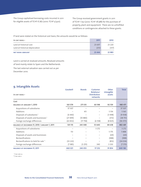The Group capitalised borrowing costs incurred in 2011 for eligible assets of TCHF 6'287 (2010: TCHF 9'420).

The Group received government grants in 2011 of TCHF 1'757 (2010: TCHF 18'588) for the purchase of property, plant and equipment. There are no unfulfilled conditions or contingencies attached to these grants.

**COL** 

If land were stated on the historical cost basis, the amounts would be as follows:

| in CHF 1000.-                   | 2011    | 2010     |
|---------------------------------|---------|----------|
| Land at historical cost         | 23 697  | 23 220   |
| Land at historical depreciation | (253)   | (337)    |
| <b>NET BOOK AMOUNT</b>          | 23 4 44 | 22 8 8 3 |

Land is carried at revalued amounts. Revalued amounts of land mainly relate to Spain and the Netherlands.

The last external valuation was carried out as per December 2010.

## **9. Intangible Assets**

| in CHF 1000.-                                   | Goodwill | <b>Brands</b> | <b>Customer</b><br>Relations/<br><b>Distribution</b><br>networks | Other<br>intangible<br>assets | <b>Total</b> |
|-------------------------------------------------|----------|---------------|------------------------------------------------------------------|-------------------------------|--------------|
| Cost                                            |          |               |                                                                  |                               |              |
| <b>BALANCE AT JANUARY 1, 2010</b>               | 561579   | 271 535       | 60 198                                                           | 92 159                        | 985 471      |
| Acquisitions of subsidiaries                    | 37 307   |               |                                                                  |                               | 37 307       |
| Additions                                       |          | 411           |                                                                  | 5 1 5 4                       | 5 5 6 5      |
| Disposals of subsidiaries"                      | (6440)   |               |                                                                  | (3498)                        | (9938)       |
| Disposals of assets and businesses <sup>"</sup> | (27 499) | (10, 880)     |                                                                  | (372)                         | (38751)      |
| Foreign exchange differences                    | (63 832) | (17758)       | (6558)                                                           | (8825)                        | (96973)      |
| BALANCE AT DECEMBER 31, 2010 / JANUARY 1, 2011  | 501115   | 243 308       | 53 640                                                           | 84 618                        | 882 681      |
| Acquisitions of subsidiaries                    |          |               | 3 2 7 2                                                          |                               | 3 2 7 2      |
| Additions                                       | 113      |               |                                                                  | 5 7 7 5                       | 5888         |
| Disposals of assets and businesses              |          |               |                                                                  | (69)                          | (69)         |
| Reclassifications                               |          |               |                                                                  | (988)                         | (988)        |
| Reclassifications to held for sale")            | (33 222) |               |                                                                  | (812)                         | (34034)      |
| Foreign exchange differences                    | (7985)   | (3 255)       | 340                                                              | 3 3 3 0                       | (7570)       |
| <b>BALANCE AT DECEMBER 31, 2011</b>             | 460 021  | 240 053       | 57 25 2                                                          | 91854                         | 849 180      |

\*) See note 25

\*\*) See note 2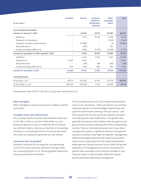| In CHF 1000 .-                                 | Goodwill | <b>Brands</b> | Customer<br>Relations/<br><b>Distribution</b><br>networks | Other<br>intangible<br>assets | <b>Total</b> |
|------------------------------------------------|----------|---------------|-----------------------------------------------------------|-------------------------------|--------------|
| <b>Accumulated amortization</b>                |          |               |                                                           |                               |              |
| <b>BALANCE AT JANUARY 1, 2010</b>              | -        | 20 590        | 28 717                                                    | 39 690                        | 88 997       |
| Additions                                      |          | 3 3 7 5       | 13 5 9 5                                                  | 6748                          | 23 718       |
| Disposals of subsidiaries                      |          |               |                                                           | (1903)                        | (1903)       |
| Disposals of assets and businesses             | —        | (10 880)      | $\overbrace{\phantom{1232211}}$                           | (5)                           | (10885)      |
| Reclassifications                              |          | (975)         |                                                           | 975                           |              |
| Foreign exchange differences                   |          | (866)         | (3 205)                                                   | (3666)                        | (7737)       |
| BALANCE AT DECEMBER 31, 2010 / JANUARY 1, 2011 |          | 11 2 4 4      | 39 107                                                    | 41839                         | 92 190       |
| Additions                                      |          | 6 4 21        | 11 912                                                    | 5961                          | 24 2 9 4     |
| Impairments                                    | 13 8 31  | 3 0 4 2       | $\overbrace{\phantom{1232211}}$                           | $\qquad \qquad$               | 16 873       |
| Reclassifications                              |          | (411)         | 188                                                       | (765)                         | (988)        |
| Foreign exchange differences                   | 833      | (591)         | 666                                                       | 789                           | 2697         |
| <b>BALANCE AT DECEMBER 31, 2011</b>            | 14 6 6 4 | 19 705        | 51 873                                                    | 47824                         | 134 066      |
| Carrying amount                                |          |               |                                                           |                               |              |
| At January 1, 2011                             | 501115   | 232 064       | 14 5 3 3                                                  | 42 779                        | 790 491      |
| At December 31, 2011                           | 445 357  | 220 348       | 5 3 7 9                                                   | 44 030                        | 715 114      |

Development costs of TCHF 1'782 (2010: 2'500) were capitalized in 2011.

#### **Other intangibles**

Other intangibles mainly include licenses, software, patents and recipes.

#### **Intangible assets with indefinite lives**

The carrying amount of brands with indefinite useful lives is CHF 186.0 million in 2011 (CHF 187.8 million in 2010). Brands are deemed to have an indefinite life if the brand has sufficient history. Hero has no intention of re-branding and there is no foreseeable limit to the period over which the brands are expected to generate net cash inflows.

#### **Impairment tests for goodwill**

Goodwill is allocated to the respective cash-generating units (CGUs), which primarily represents the legal entity. See accounting policies no. 8. Annual goodwill impairment tests are performed in December.

The recoverable amount of a CGU is determined based on value-in-use calculations. These calculations use cash flow projections based on financial budgets approved by management and forecasts covering a five-year period. Cash flows beyond the five-year period are projected using the estimated growth rates stated below. The growth rates generally correspond to the inflation rates plus general real gross domestic product (GDP) growth of the corresponding country. They are individually assessed and in case where management expects a significant deviation from general economic conditions they might be adjusted. Management determined budgeted growth rates based on past performance and its expectations for the market development. Where general industry forecasts do not reflect the growth expecations of management for specific businesses, the growth rates used depart from forecasts included in such industry reports in order to better reflect the specific growth potentials expected by management.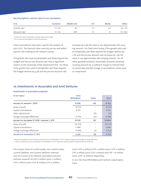#### **Key assumptions used for value-in-use calculations:**

|                             |             |      | US  | <b>Nordic</b> | Other        |
|-----------------------------|-------------|------|-----|---------------|--------------|
| Growth rate <sup>1</sup>    | $1.2 - 2.0$ | 8.5  |     | 2.0           | $2.0 - 5.0$  |
| Discount rate <sup>2)</sup> | $7.1 - 7.6$ | 19.9 | 7.1 |               | $7.5 - 14.3$ |

<sup>1)</sup> Growth rate used to extrapolate cash flows beyond the budget.

<sup>2)</sup> Pre-tax discount rate applied to cash flow projections.

These assumptions have been used for the analysis of each CGU. The discount rates used are pre-tax and reflect specific risks relating to the relevant country.

The growth rate used to extrapolate cash flows beyond the budget and the pre-tax discount rate have a significant impact on the sensitivity of the impairment test. For Vitrac, if the growth rate used to extrapolate cash flows beyond the budget declines by 3.3% and the pre-tax discount rate

increases by 2.3% the value in use approximates the carrying amount. For Ülker-Hero Turkey, if the growth rate used to extrapolate cash flows beyond the budget declines by 1.7% and the pre-tax discount rate increases by 1.3% the value in use approximates the carrying amount. For all other goodwill positions, recoverable amounts exceeded carrying amounts by a sufficient margin to indicate that no reasonably possible change in assumptions could cause an impairment.

## **10. Investments in Associates and Joint Ventures**

#### **Investments in associated companies**

| in CHF 1000.-                                  | Hero<br>WhiteWave | Other | Total   |
|------------------------------------------------|-------------------|-------|---------|
| <b>BALANCE AT JANUARY 1, 2010</b>              | 15 0 3 6          | 126   | 15 162  |
| Share of profit                                | (9 113)           |       | (9 113) |
| Capital contributions                          | 8 3 5 5           |       | 8 3 5 5 |
| Other adjustments                              |                   | (12)  | (12)    |
| Foreign exchange differences                   | (3775)            | (13)  | (3788)  |
| BALANCE AT DECEMBER 31, 2010 / JANUARY 1, 2011 | 10 503            | 101   | 10 604  |
| Share of profit                                | $(10\;317)^{1}$   |       | (10317) |
| Capital contributions                          | 5998              |       | 5998    |
| Foreign exchange differences                   | (1549)            | (3)   | (1552)  |
| <b>BALANCE AT DECEMBER 31, 2011</b>            | 4 6 3 5           | 98    | 4 7 3 3 |

<sup>1</sup> Aditional reveivables and costs directly associated with Hero WhiteWave of TCHF 1'299 were expensed and foreign exchange differences in other comprehensive income relating to Hero WhiteWave of TCHF 6'956 were directly recycled through the income statement.

The Group's share of current assets, non-current assets, current liabilities, non-current liabilities, revenues and net income of its interests associated and joint ventures amounts to CHF o million (2010: 3 million), CHF 7 million (2010: CHF 16 million), CHF 3 million

(2010: CHF 4 million), CHF 0 million (2010: CHF 0 million) CHF 4 million (2010: CHF 7 million) and CHF –10 million (2010: CHF –9 million) respectively.

In 2011 the Hero WhiteWave joint-venture ceased operations.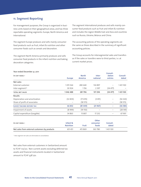## **11. Segment Reporting**

For management purposes, the Group is organized in business units based on their geographical areas, and has three reportable operating segments: Europe, North America and International.

The segment Europe produces and sells mainly consumer food products such as fruit, infant & nutrition and other consumer foods such as cereals and decoration.

The segment North America primarily produces and sells consumer food products in the infant nutrition and baking decoration categories.

The segment International produces and sells mainly consumer food products such as fruit and infant & nutrition and includes the region Middle East and Asia and countries such as Russia, Ukraine, Belarus and China.

The accounting policies of the operating segments are the same as those described in the summary of significant accounting policies.

The Group accounts for intersegmental sales and transfers as if the sales or transfers were to third parties, i.e. at current market prices.

| Year ended December 31, 2011   |               |                                |                    | Consoli-                 |                   |
|--------------------------------|---------------|--------------------------------|--------------------|--------------------------|-------------------|
| in CHF 1000.-                  | <b>Europe</b> | <b>North</b><br><b>America</b> | Inter-<br>national | dation<br>entries        | Consoli-<br>dated |
| Net sales                      |               |                                |                    |                          |                   |
| External customer              | 1015 564      | 280 640                        | 134 897            | $\qquad \qquad -$        | 1431100           |
| Inter-segment <sup>1)</sup>    | 30 924        | 1156                           | 2 3 9 7            | (34477)                  |                   |
| <b>TOTAL NET SALES</b>         | 1046488       | 281796                         | 137 294            | (34 477)                 | 1431100           |
| <b>Results</b>                 |               |                                |                    |                          |                   |
| Depreciation and amortization  | (32839)       | (17670)                        | (3 811)            | $\overline{\phantom{0}}$ | (54320)           |
| Share of profit of associates  |               | (18573)                        |                    | $\qquad \qquad -$        | (18573)           |
| (LOSS) / INCOME BEFORE TAX     | 66832         | (81449)                        | (21967)            |                          | (36 584)          |
| Impairment of assets           | (8999)        | (19 150)                       |                    |                          | (28149)           |
| Capital expenditure (tangible) | 34 863        | 15 8 0 7                       | 17 23 2            | —                        | 67901             |
|                                |               |                                |                    |                          |                   |

|                                               | Other                        |         |                   |                   |  |  |
|-----------------------------------------------|------------------------------|---------|-------------------|-------------------|--|--|
| in CHF 1000.-                                 | Infant &<br><b>Nutrition</b> | Fruit   | consumer<br>foods | Consoli-<br>dated |  |  |
| Net sales from external customers by products | 651451                       | 415 869 | 363780            | 1 431 100         |  |  |
|                                               |                              |         |                   |                   |  |  |

<sup>1)</sup> Inter-segment net sales are eliminated on consolidation.

Net sales from external customers in Switzerland amount to TCHF 103'512. Non-current assets excluding deferred tax assets and financial instruments located in Switzerland amount to TCHF 558'270.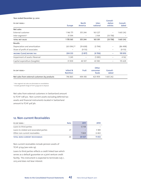**Year ended December 31, 2010**

|                                 |               |              |          | Consoli-        |          |
|---------------------------------|---------------|--------------|----------|-----------------|----------|
| in CHF 1000.-                   |               | <b>North</b> | Inter-   | dation          | Consoli- |
|                                 | <b>Europe</b> | America      | national | entries         | dated    |
| Net sales                       |               |              |          |                 |          |
| External customer               | 1146 771      | 355 244      | 163 227  |                 | 665 242  |
| Inter-segment <sup>1)</sup>     | 31594         |              | 2 1 6 4  | (33758)         |          |
| <b>TOTAL NET SALES</b>          | 1178 365      | 355 244      | 165 391  | (33758)         | 1665 242 |
| <b>Results</b>                  |               |              |          |                 |          |
| Depreciation and amortization   | $(63096)^{2}$ | (19608)      | (3794)   | —               | (86498)  |
| Share of profit of associates   |               | (9 113)      |          | —               | (9 113)  |
| INCOME / (LOSS) BEFORE TAX      | 204 333       | (3 817)      | (4706)   | -               | 195 810  |
| Impairment of assets / Reversal | 5 2 4 5       |              | (1083)   | $\qquad \qquad$ | 4 1 6 2  |
| Capital expenditure (tangible)  | 31939         | 40 107       | 43 5 83  | $\qquad \qquad$ | 115 629  |
|                                 |               |              |          |                 |          |

|                                               | Other                           |         |                   |                   |  |
|-----------------------------------------------|---------------------------------|---------|-------------------|-------------------|--|
| $in$ CHF 1000. $-$                            | Infant $\&$<br><b>Nutrition</b> | Fruit   | consumer<br>foods | Consoli-<br>dated |  |
| Net sales from external customers by products | 746 865                         | 494 418 | 423 959           | 1 665 242         |  |
|                                               |                                 |         |                   |                   |  |

1) Inter-segment net sales are eliminated on consolidation.

2) Includes goodwill charge of TCHF 33'939 due to disposal.

Net sales from external customers in Switzerland amount to TCHF 108'520. Non-current assets excluding deferred tax assets and financial instruments located in Switzerland amount to TCHF 416'361.

## **12. Non-current Receivables**

| $in$ CHF 1000. $-$                      | <b>Note</b> | 2011    | 2010    |
|-----------------------------------------|-------------|---------|---------|
| Loans to third parties                  |             | 12 15 8 |         |
| Loans to related and associated parties | 27          |         | 5 1 8 9 |
| Other non-current receivables           |             | 7869    | 6463    |
| <b>TOTAL NON-CURRENT RECEIVABLES</b>    | 26          | 20 027  | 11 652  |

Non-current receivables include pension assets of TCHF 4'054 (see note 19).

Loans to third parties reflects a credit linked loan which serves as a default guarantee on a joint venture credit facility. This instrument is expected to terminate July 1, 2013 and does not bear interest.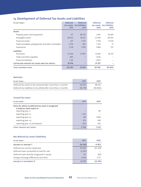# **13. Development of Deferred Tax Assets and Liabilities**

| in CHF 1000.-                                        | <b>Deferred</b><br>2011 | <b>Deferred</b><br>tax assets tax liabilities<br>2011 | <b>Deferred</b><br>2010 | <b>Deferred</b><br>tax assets tax liabilities<br>2010 |
|------------------------------------------------------|-------------------------|-------------------------------------------------------|-------------------------|-------------------------------------------------------|
| Assets                                               |                         |                                                       |                         |                                                       |
| Property, plant and equipment                        | 517                     | 48 374                                                | 1463                    | 36 841                                                |
| Intangible assets                                    | 28 0 22                 | 18727                                                 | 21 0 95                 | 28 0 23                                               |
| Financial assets                                     | 227                     | 5 4 7 1                                               | 7169                    | 13 519                                                |
| Trade receivables, prepayments and other receivables | 4 1 5 9                 | 283                                                   | 1232                    | 17                                                    |
| Inventories                                          | 2 2 1 8                 | 1078                                                  | 1894                    | 727                                                   |
| <b>Liabilities</b>                                   |                         |                                                       |                         |                                                       |
| Provisions                                           | 14 3 0 4                | 21876                                                 | 15 4 45                 | 26 741                                                |
| Trade and other payables                             | 683                     |                                                       | 1026                    |                                                       |
| <b>Financial liabilities</b>                         | 1 2 4 1                 |                                                       | 2803                    |                                                       |
| <b>CAPITALIZED UNUSED TAX LOSSES AND TAX CREDITS</b> | 76 914                  |                                                       | 37 357                  |                                                       |
| <b>TOTAL DEFERRED TAXES</b>                          | 128 284                 | 95 810                                                | 89 487                  | 105 869                                               |

#### **Maturities**

| IN CHE 1000. $-$                                                 | 2011    | 2010      |
|------------------------------------------------------------------|---------|-----------|
| Deferred tax assets to be recovered after more than 12 months    | 125 555 | 88 015    |
| Deferred tax liabilities to be settled after more than 12 months | (92179) | (96, 806) |

#### **Unused Tax Losses**

| $\overline{1}$ n CHF 1000.-                                                        | 2011 | 2010    |
|------------------------------------------------------------------------------------|------|---------|
| Items for which no deferred tax asset is recognized<br>in balance sheet expire in: |      |         |
| reporting year +1                                                                  |      | 99      |
| reporting year +2                                                                  | 1252 |         |
| reporting year $+3$                                                                | 381  | 1440    |
| reporting year $+4$                                                                | 472  | 438     |
| reporting year +5 and beyond                                                       | 634  | 543     |
| <b>TOTAL UNUSED TAX LOSSES</b>                                                     | 2740 | 2 5 2 0 |

## **Net deferred tax assets/ (liabilities)**

| in CHF 1000.-                                | 2011    | 2010     |
|----------------------------------------------|---------|----------|
| <b>BALANCE AT JANUARY 1</b>                  | (16381) | 13 8 12  |
| Deferred tax income / (expense)              | 47 204  | (32324)  |
| Deferred taxes reclassified to held for sale | (3 207) |          |
| Deferred taxes directly recognized in equity | 135     | (40)     |
| Foreign exchange differences and other       | 4 4 1 9 | 2 1 7 1  |
| <b>BALANCE AT DECEMBER 31</b>                | 32 170  | (16 381) |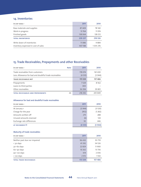## **14. Inventories**

| in CHF 1000.-                       | 2011    | 2010     |
|-------------------------------------|---------|----------|
| Raw materials and supplies          | 87409   | 78 140   |
| Work-in-progress                    | 13 7 64 | 11 9 7 4 |
| Finished goods                      | 138 064 | 128 212  |
| <b>TOTAL INVENTORIES</b>            | 239 237 | 218 326  |
| Write down of inventories           | 11086   | 9884     |
| Inventory expensed in cost of sales | 907188  | 1035 276 |

# **15. Trade Receivables, Prepayments and other Receivables**

| in CHF 1000.-                                          | <b>Note</b> | 2011    | 2010    |
|--------------------------------------------------------|-------------|---------|---------|
| Trade receivables from customers                       |             | 178 074 | 161430  |
| Less: Allowance for bad and doubtful trade receivables |             | (4535)  | (3 944) |
| <b>TRADE RECEIVABLES NET</b>                           |             | 173 539 | 157486  |
| Prepayments                                            |             | 7529    | 8 5 6 2 |
| Loans to third parties                                 |             | 830     |         |
| Other receivables                                      |             | 36394   | 39 801  |
| <b>TOTAL RECEIVABLES AND PREPAYMENTS</b>               | 26          | 218 292 | 205 849 |

## **Allowance for bad and doubtful trade receivables**

| in CHF 1000.-             | 2011   | 2010    |
|---------------------------|--------|---------|
| At January 1              | (3944) | (3 520) |
| Charge for the year       | (952)  | (1282)  |
| Amounts written off       | 275    | 288     |
| Unused amounts reversed   | (6)    | 124     |
| Exchange rate differences | 92     | 446     |
| AT DECEMBER 31            | (4535) | (3944)  |

## **Maturity of trade receivables**

| in CHF 1000.-                  | 2011    | 2010    |
|--------------------------------|---------|---------|
| Neither past due nor impaired  | 96 430  | 93 719  |
| < 30 days                      | 41392   | 34 5 26 |
| 30-60 days                     | 22829   | 11 900  |
| 60-90 days                     | 10 26 2 | 13736   |
| 90-120 days                    | 614     | 2036    |
| > 120 days                     | 2 0 12  | 1542    |
| <b>TOTAL TRADE RECEIVABLES</b> | 173 539 | 157486  |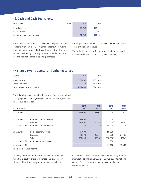## **16. Cash and Cash Equivalents**

| IN CHE 1000. $-$                 | <b>Note</b> | 2011  | 2010    |
|----------------------------------|-------------|-------|---------|
| Bank balances                    |             | 82736 | 195 950 |
| Cash equivalents                 |             |       | 1433    |
| <b>CASH AND CASH EQUIVALENTS</b> |             | 82736 | 197 383 |

Cash and cash equivalents at the end of the period include deposits with banks of CHF 3.4 million (2010: CHF 15.2 million) held by some subsidiaries which are not freely remissible to the holding company because those deposits are used to secure bank facilities and guarantees.

Cash equivalents contain cash deposits in cash pools with other entities and cheques.

The weighted average effective interest rate on cash and cash equivalents in 2011 was 0.07% (2010: 0.18%).

## **17. Shares, Hybrid Capital and Other Reserves**

| a) Number of shares                | 2011      | 2010      |
|------------------------------------|-----------|-----------|
| Common stock                       | 5 151 600 | 5 151 600 |
| Treasury shares                    |           | (125000)  |
| <b>TOTAL SHARES AT DECEMBER 31</b> | 5 151 600 | 5 026 600 |

The following table illustrates the number (No.) and weighted average purchase price (WAPP) of, and movement in, treasury shares during the year:

| in CHF 1000.-              |                               | 2011<br>No. | 2011<br><b>WAPP</b> | 2010<br>No. | 2010<br><b>WAPP</b> |
|----------------------------|-------------------------------|-------------|---------------------|-------------|---------------------|
| AT JANUARY 1               |                               | 125 000     | 134.49              | 225 000     | 157.21              |
| AT JANUARY 1               | <b>HELD BY KEY MANAGEMENT</b> | 50 000      |                     | 175 000     |                     |
|                            | Exercised                     | (50000)     | 268.50              | (125000)    | 240.30              |
| AT DECEMBER 31             | <b>HELD BY KEY MANAGEMENT</b> |             |                     | 50 000      |                     |
| AT JANUARY 1               | <b>HELD IN ESCROW BY HERO</b> | 75 000      |                     | 50 000      |                     |
|                            | Exercised                     | 50 000      | 268.50              | 125 000     | 240.30              |
|                            | Sold                          | (125000)    | 216.65              | (100000)    | 185.61              |
| AT DECEMBER 31             | <b>HELD IN ESCROW BY HERO</b> |             |                     | 75 000      |                     |
| AT DECEMBER 31             |                               |             |                     | 125 000     | 134.49              |
| Exercisable at December 31 |                               |             |                     |             |                     |

Treasury shares in 2011 and 2010 are held in connection with the executive share compensation plan. Treasury shares held by key management are not available for

 distribution. 50'000 shares were exercised by key management, 125'000 shares were sold to Schwartau International GmbH. The executive share compensation plan was terminated in 2011.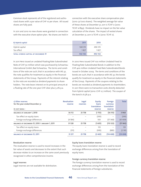Common stock represents all of the registered and authorized shares with a par value of CHF 10 per share. All issued shares are fully paid.

In 2011 and 2010 no new shares were granted in connection with the executive share option plan. No shares are held in connection with the executive share compensation plan (2010: 50'000 shares). The weighted average fair value of these shares at December 31, 2011 is TCHF 0 (2010: TCHF 10'893). Dividends have no impact on the fair value calculation of the shares. The impact of vested shares at December 31, 2011 is TCHF 0 (2010: TCHF 0).

| b) Hybrid capital                          | 2011    | 2010    |
|--------------------------------------------|---------|---------|
| Hybrid capital                             | 540 315 | 490 315 |
| Tax effect                                 | 1827    | 1827    |
| <b>TOTAL HYBRID CAPITAL AT DECEMBER 31</b> | 542 142 | 492 142 |

In 2011 Hero issued an undated Floating Rate Subordinated Note of CHF 50 million which was purchased by Schwartau International GmbH, Bad Schwartau. The terms and conditions of the note are such, that in accordance with IAS 32, the note qualifies for treatment as equity in the financial statements of the Group. Payments of the interest relating to the note are recorded as dividend payments to shareholders. The note bears interest on its principal amount at a floating rate of the one-year CHF Libor plus 5.0% p.a.

In 2010 Hero issued CHF 100 million Undated Fixed to Floating Rate Subordinated Bonds in addition to the CHF 400 million Undated Fixed Rate Subordinated Bonds issued in October 2009. The terms and conditions of the bonds are such, that in accordance with IAS 32, the bonds qualify for treatment as equity in the financial statements of the Group. Payments of the coupons relating to the bonds are recorded as dividend payments to shareholders. In 2011 there were no transaction costs directly deducted from hybrid capital (2010: CHF 0.7 million). The coupon of the bond is 6.5% p.a.

| c) Other reserves<br>for the year ended December 31<br>in CHF 1000.- | <b>Revaluation</b><br>reserve | Legal<br>reserves | Equity<br>loans<br>translation<br>reserve | Foreign<br>currency<br>translation<br>reserve | <b>Total</b> |
|----------------------------------------------------------------------|-------------------------------|-------------------|-------------------------------------------|-----------------------------------------------|--------------|
| <b>BALANCE AT JANUARY 1, 2010</b>                                    | 36 112                        | 25 7 58           | (1755)                                    | (56155)                                       | 3960         |
| Tax effect on equity loans                                           |                               |                   | (393)                                     |                                               | (393)        |
| Foreign exchange differences                                         | (4 584)                       |                   | 543                                       | (57368)                                       | (61409)      |
| BALANCE AT DECEMBER 31, 2010 / JANUARY 1, 2011                       | 31528                         | 25 7 58           | (1605)                                    | (113 523)                                     | (57842)      |
| Tax effect on equity loans                                           |                               |                   | 135                                       | $\overline{\phantom{m}}$                      | 135          |
| Foreign exchange differences                                         | (311)                         |                   | (995)                                     | (885)                                         | (2 191)      |
| <b>BALANCE AT DECEMBER 31, 2011</b>                                  | 31 217                        | 25 7 58           | (2465)                                    | (114 408)                                     | (59898)      |

#### **Revaluation reserve**

The revaluation reserve is used to record increases in the fair value of assets and decreases to the extent that such de crease relates to an increase on the same asset previously recognized in other comprehensive income.

#### **Legal reserves**

Legal reserves are not available for distribution.

#### **Equity loans translation reserve**

The equity loans translation reserve is used to record exchange differences arising from the translation of equity loans.

### **Foreign currency translation reserve**

The foreign currency translation reserve is used to record exchange differences arising from the translation of the financial statements of foreign subsidiaries.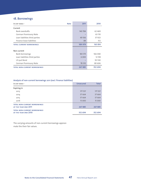## **18. Borrowings**

| <b>Note</b><br>in CHF 1000.-        | 2011    | 2010    |
|-------------------------------------|---------|---------|
| Current                             |         |         |
| <b>Bank overdrafts</b>              | 140 784 | 62469   |
| German Promissory Note              |         | 63 110  |
| Loan liabilities third parties      | 49 10 6 | 37923   |
| Finance lease liabilities           | 89      | 312     |
| <b>TOTAL CURRENT BORROWINGS</b>     | 189 979 | 163 814 |
| Non-current                         |         |         |
| Bank borrowings                     | 183 575 | 166 040 |
| Loan liabilities third parties      | 6 0 0 0 | 12 518  |
| US put Bond                         |         | 93 530  |
| <b>German Promissory Note</b>       | 78 310  | 80 60 6 |
| <b>TOTAL NON-CURRENT BORROWINGS</b> | 267885  | 352 694 |

## **Analysis of non-current borrowings 2011 (excl. Finance liabilities)**

| in CHF 1000 .-                                              | Unsecured | <b>Total</b> |
|-------------------------------------------------------------|-----------|--------------|
| Expiring in                                                 |           |              |
| 2013                                                        | 177 557   | 177 557      |
| 2014                                                        | 37 6 6 4  | 37 6 6 4     |
| 2015                                                        | 37 6 6 4  | 37 6 6 4     |
| 2016                                                        | 15 0 0 0  | 15 000       |
| <b>TOTAL NON-CURRENT BORROWINGS</b><br>AT THE YEAR END 2011 | 267885    | 267885       |
|                                                             |           |              |
| <b>TOTAL NON-CURRENT BORROWINGS</b><br>AT THE YEAR END 2010 | 352 694   | 352 694      |

The carrying amounts of non-current borrowings approximate the their fair values.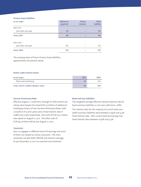### **Finance lease liabilities**

| in CHF 1000 .-     | <b>Minimum</b><br>payment | <b>Future</b><br>interest | <b>Total</b><br>liability |
|--------------------|---------------------------|---------------------------|---------------------------|
| Year 2011          |                           |                           |                           |
| Less than one year | 89                        |                           | 89                        |
| <b>TOTAL 2011</b>  | 89                        |                           | 89                        |
|                    |                           |                           |                           |
| Year 2010          |                           |                           |                           |
| Less than one year | 312                       |                           | 312                       |
| <b>TOTAL 2010</b>  | 312                       |                           | 312                       |

The carrying value of future finance lease liabilities approximates the present values.

### **Assets under finance leases**

| IN CHE 1000. $-$                        | 2011 | 2010 |
|-----------------------------------------|------|------|
| Plant and machinery                     | 44   | 233  |
| <b>TOTAL ASSETS UNDER FINANCE LEASE</b> | 44   | 233  |

#### **German Promissory Note**

Effective August 11, 2008 Hero, through its fully owned subsidiary Hero España SA raised EUR 115 million of additional funding by means of two German Promissory Notes with a duration of 3 and 5 years and a fixed interest rate of 5.68% and 5.75% respectively. One note of EUR 50.5 million was repaid on August 11, 2011. The other note of EUR 64.5 million will be due August 11, 2013.

#### **Covenants**

Hero is engaged in different kind of financings and most of them are related to certain covenants. The main covenants are Net Debt / EBITDA and interest coverage. As per December 31, 2011 no covenant was breached.

#### **Bank and loan liabilities**

The weighted average effective interest expense rate for bank and loan liabilities in 2011 was 3.6% (2010: 3.8%).

The interest rates for the majority of current bank overdrafts and loan liabilities were between 0.94% and 4.4% fixed interest rates. Non-current bank borrowings had fixed interest rates between 0.92% and 4.3%.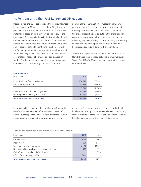## **19. Pensions and Other Post-Retirement Obligations**

Depending on the legal, economic and fiscal circumstances in each country, different retirement benefit systems are provided for the employees of the Group. As a rule, these systems are based on length of service and salary of the employees. Pension obligations in the Group relate to both defined benefit and defined contribution plans. Defined benefit plans are funded and unfunded. Most Group companies sponsor defined benefit pension schemes which are funded by payments to separate trustee-administered funds. The obligations of our German companies, which account for almost all of our pension liabilities, are un funded. The latest actuarial valuations under IAS 19 were carried out as at December 31, 2011 for all significant

pension plans. The valuation of most plan assets was performed as of December 31, 2011. All cumulative net unrecognized actuarial gains and losses at the end of the previous reporting period outside the prescribed 10% corridor are recognized in the income statement of the following year in which they occur. Actuarial gains relating to the German pension plan of CHF 0.373 million have been recognized in 2011 (2010: CHF 0.529 million).

The Group's largest pension schemes are Pensionskasse Hero Schweiz, the unfunded obligations of Schwartauer Werke GmbH & Co. KGaA, Schoenauer IAV and Beech-Nut Retirement Plan.

### **Pension benefits**

| in CHF 1000.-                             | 2011     | 2010    |
|-------------------------------------------|----------|---------|
| Present value of funded obligations       | 104 658  | 102 103 |
| Fair value of plan assets                 | (88 875) | (91095) |
|                                           | 15 7 8 3 | 11 008  |
| Present value of unfunded obligations     | 47 5 68  | 46 404  |
| Unrecognized actuarial gains/(losses)     | (13 510) | (6844)  |
| <b>NET LIABILITY IN THE BALANCE SHEET</b> | 49 841   | 50 568  |

In the consolidated balance sheet, obligations from defined benefit plans are recorded in "non-current provisions" and the current portion under "current provisions". Where pensions are overfunded, the corresponding assets are

recorded in "other non-current receivables". Additional liabilities amounting to CHF 3.092 million (2010: CHF 3.103 million) relating to other smaller defined benefit schemes have been recognized in the financial statements.

The amounts recognized in the income statement are as follows:

| in CHF 1000.-                                       | 2011    | 2010    |
|-----------------------------------------------------|---------|---------|
| Current service cost                                | 2 1 7 5 | 2696    |
| Interest cost                                       | 5 3 0 1 | 6 1 3 6 |
| Expected return on plan assets                      | (3398)  | (3620)  |
| Net actuarial (gains)/losses recognized in the year | 1747    | (779)   |
| (Gain)/Loss on curtailments/settlements             |         | 396     |
| Effect of the limit in par. $58(b)$                 | (985)   |         |
| TOTAL, INCLUDED IN PERSONNEL EXPENSE                | 4840    | 4829    |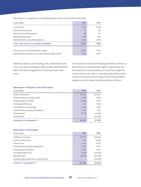The expense is recognized in the following line items in the income statement:

| in CHF 1000 .-                                         | 2011    | 2010    |
|--------------------------------------------------------|---------|---------|
| Cost of sales                                          | 2627    | 2796    |
| Distribution expenses                                  | 74      | 80      |
| Research and development                               | 48      | 53      |
| Marketing and sales                                    | 785     | 857     |
| Administration and other expenses                      | 1306    | 1043    |
| TOTAL, INCLUDED IN THE INCOME STATEMENT                | 4 8 4 0 | 4829    |
|                                                        |         |         |
| Actual return on reimbursement rights                  | 4 0 5 4 | 3 9 1 4 |
| Expected rate of return on reimbursement rights (in %) | 4.0%    | 4.0%    |

Additional pension costs totaling CHF 0.087 million (2010: CHF 0.471 million) relating to other smaller defined benefit plans have been recognized in the Group income statement.

For the pension scheme of Schwartauer Werke GmbH & Co. KGaA there are reimbursement rights in place which are disclosed from 2003 onwards as an asset. Those rights to reimbursement are under an insurance policy that exactly matches the amount and timing of some of the benefits payable under the above mentioned pension scheme.

### **Movements in the plan assets at fair value:**

| in CHF 1000 .-                     | 2011    | 2010    |
|------------------------------------|---------|---------|
| Assets at January 1                | 91095   | 102 095 |
| Expected return on plan assets     | 3 3 9 8 | 3 6 2 0 |
| Actuarial gains/(losses)           | (2 250) | 1053    |
| Exchange differences               | 45      | (622)   |
| Contributions by employer          | 2 2 6 9 | 2 1 2 9 |
| Contributions by plan participants | 1432    | 1413    |
| Benefits paid                      | (7114)  | (7640)  |
| Settlements                        |         | (10953) |
| <b>PLAN ASSET AT DECEMBER 31</b>   | 88 875  | 91095   |

### **Movements in the liability:**

| in CHF 1000 .-                         | 2011    | 2010    |
|----------------------------------------|---------|---------|
| Liability at January 1                 | 153 627 | 166 481 |
| Current service cost                   | 2 1 7 5 | 2696    |
| Interest cost                          | 5 3 0 2 | 6 1 3 6 |
| Contributions by plan participants     | 1432    | 1413    |
| Actuarial gains/(losses)               | 2924    | 9 3 5 7 |
| Exchange differences                   | (1267)  | (10679) |
| Benefits paid                          | (9935)  | (10824) |
| Increase/(Decrease) due to settlements |         | (10953) |
| <b>LIABILITY AT DECEMBER 31</b>        | 154 258 | 153 627 |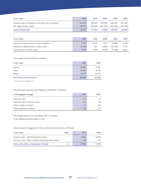| in CHF 1000.-                                      | 2011     | 2010    | 2009     | 2008     | 2007      |
|----------------------------------------------------|----------|---------|----------|----------|-----------|
| Present value of obligations (funded and unfunded) | 152 226  | 148 507 | 159 948  | 226 600  | 262 434   |
| Fair value of plan assets                          | (88 875) | (91095) | (102095) | (160568) | (197 424) |
| DEFICIT/(SURPLUS)                                  | 63 3 51  | 57 412  | 57853    | 66 032   | 65 010    |
|                                                    |          |         |          |          |           |
| in CHF 1000.-                                      | 2011     | 2010    | 2009     | 2008     | 2007      |
| Experience adjustments on plan liabilities         | 2 7 4 5  | 9669    | 5087     | (4489)   | 2 0 19    |
| Experience adjustments on plan assets              | (1942)   | 672     | 8684     | (22682)  | 2 5 7 2   |
| Actual return on plan assets                       | 1148     | 4386    | 14 4 8 7 | (15188)  | 4 9 4 3   |

## Plan assets are comprised as follows:

| 2011     | 2010    |
|----------|---------|
| 18 4 8 7 | 15787   |
| 47 0 75  | 45 116  |
| 23 3 13  | 30 192  |
| 88 875   | 91 0 95 |
|          |         |

\*) incl. real estate and hedge funds

The principal actuarial assumptions used were as follows:

| in % (weighted average)        | 2011 | 2010 |
|--------------------------------|------|------|
| Discount rate                  | 3.4  | 3.7  |
| Expected return on plan assets | 3.4  | 3.8  |
| Future salary increases        | 1.0  | 0.6  |
| Future pension increases       | 0.8  | 0.4  |

The Group expects to contribute CHF 2.1 million to its defined benefit plans in 2011.

Total amounts recognized in the income statement are as follows:

| in CHF 1000. $-$                                     | <b>Note</b> | 2011    | 2010    |
|------------------------------------------------------|-------------|---------|---------|
| Pension costs – defined benefits plans               |             | 4 8 4 0 | 4829    |
| Pension costs – other smaller defined benefits plans |             | 86      | 471     |
| TOTAL, INCLUDED IN PERSONNEL EXPENSE                 | 4           | 4926    | 5 3 0 0 |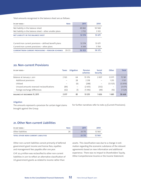Total amounts recognized in the balance sheet are as follows:

| <b>Note</b><br>in CHF 1000.-                                     | 2011    | 2010    |
|------------------------------------------------------------------|---------|---------|
| Net liability in the balance sheet                               | 49 842  | 50 568  |
| Net liability in the balance sheet - other smaller plans         | 2732    | 3 1 0 3 |
| <b>NET LIABILITY IN THE BALANCE SHEET</b>                        | 52 574  | 53 671  |
|                                                                  |         |         |
| Current/non current provisions - defined benefit plans           | 52 574  | 53 671  |
| Current/non-current provisions - other plans                     | 4 3 4 9 | 5704    |
| <b>CURRENT/NON-CURRENT PROVISIONS - PENSION SCHEMES</b><br>20/23 | 56 923  | 59 375  |

## **20. Non-current Provisions**

| in CHF 1000 .-                              | <b>Taxes</b> | Litigation | Pension<br>schemes | Social<br><b>Security</b> | Other    | <b>Total</b> |
|---------------------------------------------|--------------|------------|--------------------|---------------------------|----------|--------------|
| Balance at January 1, 2011                  | 2 1 6 3      | 64         | 55 376             | 2007                      | 12 971   | 72 581       |
| Additional provisions                       |              | 28         | 2 2 1 8            | $\overline{\phantom{m}}$  | 1255     | 3 5 0 1      |
| Utilized                                    |              | (6)        | (288)              | $\overline{\phantom{m}}$  | (12 525) | (12 819)     |
| Unused amounts reversed / reclassifications | (84)         | —          | (2655)             | (332)                     |          | (3 071)      |
| Foreign exchange differences                | (62)         | (1)        | (1396)             | (49)                      | (16)     | (1524)       |
| BALANCE AT DECEMBER 31, 2011                | 2 0 17       | 85         | 53 255             | 1626                      | 1685     | 58 6 68      |

### **Litigation**

The amounts represent a provision for certain legal claims brought against the Group.

For further narratives refer to note 23 (Current Provisions).

## **21. Other Non-current Liabilities**

| in CHF 1000 .-                             | <b>Note</b> | 2011   | 2010     |
|--------------------------------------------|-------------|--------|----------|
| Other liabilities                          | 26          | 33 715 | 12 560   |
| <b>TOTAL OTHER NON-CURRENT LIABILITIES</b> |             | 33 715 | 12 5 6 0 |

Other non-current liabilities consist primarily of deferred government grant income and license fees, royalties and management fees payable after one year.

CHF 20.4 million was reclassified to other non-current liabilities in 2011 to reflect an alternative classification of US government grants as related to income rather than

assets. This classification was due to a change in estimation regarding the economic substance of the relevant agreements based on new information and additional experience. There was no impact to Shareholders' Equity, Other Comprehensive Income or the Income Statement.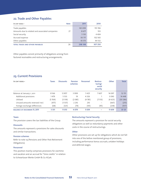## **22. Trade and Other Payables**

| in CHF 1000 .-                                  | <b>Note</b> | 2011    | 2010    |
|-------------------------------------------------|-------------|---------|---------|
| Trade payables                                  |             | 145 099 | 155 196 |
| Amounts due to related and associated companies | 27          | 8677    | 553     |
| Social security                                 |             | 5 1 3 0 | 4404    |
| Accrued expense                                 |             | 93 717  | 102 565 |
| Other payables                                  |             | 45 575  | 44 532  |
| <b>TOTAL TRADE AND OTHER PAYABLES</b>           | 26          | 298 198 | 307 250 |

Other payables consist primarily of obligations arising from factored receivables and restructuring arrangements.

## **23. Current Provisions**

| in CHF 1000.-                       | Taxes   | <b>Discounts</b> | Pension<br>schemes | Personnel | Restruc-<br>turing/<br>social<br>security | Other    | <b>Total</b> |
|-------------------------------------|---------|------------------|--------------------|-----------|-------------------------------------------|----------|--------------|
| Balance at January 1, 2011          | 8 1 6 6 | 12 8 5 7         | 3999               | 5425      | 7607                                      | 14 0 9 7 | 52 151       |
| Additional provisions               | 1479    | 5 5 3 3          | 19                 | 4 3 2 6   |                                           | 3 0 9 0  | 14 4 4 8     |
| Utilized                            | (5 769) | (5519)           | (2081)             | (4 781)   | (7513)                                    | (4623)   | (30286)      |
| Unused amounts reversed / recl.     | (477)   | (1537)           | 2 2 1 6            | 210       |                                           | (667)    | (255)        |
| Foreign exchange differences        | (68)    | (321)            | (74)               | (141)     | (95)                                      | (238)    | (937)        |
| <b>BALANCE AT DECEMBER 31, 2011</b> | 3 3 3 1 | 11 013           | 4 0 7 9            | 5039      |                                           | 11 659   | 35 121       |

### **Taxes**

The provision covers the tax liabilities of the Group.

#### **Discounts**

The amounts represent a provisions for sales discounts and similar transactions.

#### **Pension schemes**

Refer to note 19 (Pensions and Other Post-Retirement Obligations).

### **Personnel**

This position mainly comprises provisions for overtime and vacation and an accrual for "time credits" in relation to Schwartauer Werke GmbH & Co. KGaA.

### **Restructuring / Social Security**

The amounts represent a provision for social security obligations as well as redundancy payments and other costs in the course of restructurings.

### **Other**

Other provisions are set up for obligations which do not fall into one of the before mentioned group of provisions, including performance bonus accruals, untaken holidays and deferred wages.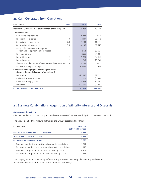## **24. Cash Generated from Operations**

| <b>Note</b><br>in CHF 1000.-                                                                        |    | 2011     | 2010     |
|-----------------------------------------------------------------------------------------------------|----|----------|----------|
| Net income (attributable to equity holders of the company)                                          |    | 4 2 8 7  | 143 130  |
| Adjustments for:                                                                                    |    |          |          |
| Non-controlling interests                                                                           |    | (6724)   | (662)    |
| Tax (income) / expense                                                                              | 6  | (34147)  | 53 342   |
| Depreciation / Impairment<br>8, 11                                                                  |    | 41 3 0 3 | 24 679   |
| Amortization / Impairment<br>1, 9, 11                                                               |    | 41166    | 57 657   |
| Net (gain) / loss on sale of property,<br>plant and equipment and businesses                        |    | (164)    | (93 951) |
| Fair value gains, net                                                                               |    | 12755    | (31041)  |
| Interest income                                                                                     | 3  | (9 265)  | (16135)  |
| Interest expense                                                                                    | 3  | 25 641   | 29 7 85  |
| Share of result before tax of associates and joint-ventures                                         | 10 | 18 5 73  | 9 113    |
| Net loss in foreign exchange                                                                        |    | 10 008   | 21 910   |
| Changes in working capital (excluding the effects<br>of acquisitions and disposals of subsidiaries) |    |          |          |
| Inventories                                                                                         |    | (26032)  | (12 239) |
| Trade and other receivables                                                                         |    | (27 205) | (17355)  |
| Trade and other payables                                                                            |    | 11 5 5 9 | (32891)  |
| Provisions                                                                                          |    | (29336)  | (12 381) |
| <b>CASH GENERATED FROM OPERATIONS</b>                                                               |    | 32 419   | 122 961  |

## **25. Business Combinations, Acquisition of Minority Interests and Disposals**

## **Major Acquisitions in 2011**

Effective October 3, 2011 the Group acquired certain assets of the Beauvais baby food business in Denmark.

The acquisition had the following effect on the Group's assets and liabilities:

| in CHF 1000 .-                                                | <b>Beauvais</b><br>baby food business |
|---------------------------------------------------------------|---------------------------------------|
| <b>FAIR VALUE OF INTANGIBLE ASSETS ACOUIRED</b>               | 3 2 7 2                               |
| <b>TOTAL PURCHASE CONSIDERATION</b>                           | 3 2 7 2                               |
| <b>CASH OUTFLOW ON ACOUISITIONS</b>                           | 3 2 7 2                               |
| Revenues contributed to the Group in 2011 after acquisition   | 1259                                  |
| Net income contributed to the Group in 2011 after acquisition | 192                                   |
| Revenues, if acquisition had occurred on January 1, 2011      | 4928                                  |
| Net income, if acquisition had occurred on January 1, 2011    | 287                                   |

The carrying amount immediately before the acquisition of the intangible asset acquired was zero. Acquisition related costs incurred in 2011 amounted to TCHF 150.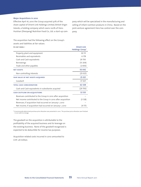#### **Major Acquisitions in 2010**

Effective April 16, 2010 the Group acquired 50% of the share capital of Orient Link Holdings Limited, British Virgin Islands, a holding company which owns 100% of Hero-Huishan (Shenyang) Nutrition Food Co., Ltd. a start-up company which will be specialized in the manufacturing and selling of infant nutrition products in China. Based on the joint-venture agreement Hero has control over the company.

The acquisition had the following effect on the Group's assets and liabilities at fair values:

| in CHF 1000.-                                                 | <b>Orient Link</b><br>Holdings Group <sup>*</sup> |
|---------------------------------------------------------------|---------------------------------------------------|
| Property, plant and equipment                                 | 30 111                                            |
| Receivables and equivalents                                   | 6 178                                             |
| Cash and Cash equivalents                                     | 29 7 93                                           |
| <b>Borrowings</b>                                             | (13 204)                                          |
| Trade and other payables                                      | (2836)                                            |
| <b>NET ASSETS</b>                                             | 50 042                                            |
| Non-controlling interests                                     | (25021)                                           |
| <b>FAIR VALUE OF NET ASSETS ACQUIRED</b>                      | 25 021                                            |
| Goodwill                                                      | 37 307                                            |
| <b>TOTAL CASH CONSIDERATION</b>                               | 62 3 2 8                                          |
| Cash and Cash equivalents in subsidiaries acquired            | (29793)                                           |
| <b>CASH OUTFLOW ON ACQUISITIONS</b>                           | 32 535                                            |
| Revenues contributed to the Group in 2010 after acquisition   |                                                   |
| Net income contributed to the Group in 2010 after acquisition | (3128)                                            |
| Revenues, if acquisition had occurred on January 1, 2010      |                                                   |
| Net income, if acquisition had occurred on January 1, 2010    | (4171)                                            |

\*) A provisonally determined purchase price allocation was presented in 2010. The purchase price allocation was finalized in 2011 with no change.

The goodwill on the acquisition is attributable to the profitability of the acquired business and its leverage on the existing business. None of the goodwill recognized is expected to be deductible for income tax purposes.

Acquisition-related costs incurred in 2010 amounted to CHF 2.8 million.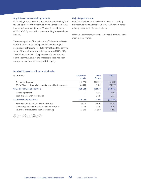#### **Acquisition of Non-controlling interests**

On March 31, 2010, the Group acquired an additional 49% of the voting shares of Schwartauer Werke GmbH & Co. KGaA, increasing its ownership to 100%. A cash consideration of TCHF 164'083 was paid to non-controlling interest shareholders.

The carrying value of the net assets of Schwartauer Werke GmbH & Co. KGaA (excluding goodwill on the original acquisition) at this date was TCHF 105'896, and the carrying value of the additional interest acquired was TCHF 51'889. The difference of CHF 112'194 between the consideration and the carrying value of the interest acquired has been recognised in retained earnings within equity.

### **Major Disposals in 2010**

Effective March 17, 2010, the Group's German subsidiary, Schwartauer Werke GmbH & Co. KGaA, sold certain assets relating to one of its lines of business.

Effective September 8, 2010, the Group sold its 100% investment in Hero France.

#### **Details of disposal consideration at fair value**

| in CHF 1000.-                                                 | Schwartau<br>assets | Hero<br><b>France</b> | <b>Total</b> |  |
|---------------------------------------------------------------|---------------------|-----------------------|--------------|--|
| Net assets disposed                                           | $(42770)^{4}$       | $(30220)^{n}$         | (72990)      |  |
| (Gain) / loss on disposal of subsidiaries and businesses, net | (66143)             | (1610)                | (67753)      |  |
| <b>TOTAL DISPOSAL CONSIDERATION</b>                           | (108913)            | (31830)               | (140743)     |  |
| Deferred payment                                              |                     | 1384                  | 1384         |  |
| Cash disposed with subsidiaries                               |                     | 2 3 2 5               | 2 3 2 5      |  |
| <b>CASH INFLOW ON DISPOSALS</b>                               | (108913)            | (28 121)              | (137 034)    |  |
| Revenues contributed to the Group in 2010                     | 18 741              | 34 171                | 52 912       |  |
| Operating profit contributed to the Group in 2010             | 2326                | 3 4 7 1               | 5797         |  |
| Revenues contributed to the Group in 2009                     | 61 612              | 54 980                | 116 592      |  |

\*\*) Includes goodwill charge of CHF 27.5 million. \*\*) Includes goodwill charge of CHF 6.4 million.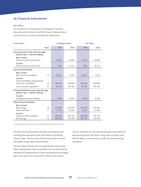## **26. Financial Instruments**

### **Fair values**

Set out below is a comparison by category of carrying amounts and fair values of all the Group's financial instruments that are carried in the financial statements:

| in CHF 1000.-                                                                    |             | <b>Carrying amount</b> |                     | <b>Fair value</b>  |                     |
|----------------------------------------------------------------------------------|-------------|------------------------|---------------------|--------------------|---------------------|
|                                                                                  | <b>Note</b> | 2011                   | 2010                | 2011               | 2010                |
| Financial assets at fair value through<br>profit or loss – held for trading      |             |                        |                     |                    |                     |
| Non-current<br>Financial assets at fair value                                    |             | 16 657                 | 34 8 93             | 16 657             | 34 893              |
| Current<br>Financial assets at fair value                                        |             | 1488                   | 14 3 2 2            | 1488               | 14 3 2 2            |
| Loans and receivables                                                            |             |                        |                     |                    |                     |
| Non-current<br>Non-current receivables                                           | 12          | 20 0 27                | 11 652              | 20 0 27            | 11 652              |
| Current<br>Trade receivables, prepayments                                        |             |                        |                     |                    |                     |
| and other receivables                                                            | 15          | 218 292                | 205849              | 218 292            | 205 849             |
| Cash and cash equivalents                                                        | 16          | 82736                  | 197383              | 82736              | 197 383             |
| Financial liabilities at fair value through<br>profit or loss – held for trading |             |                        |                     |                    |                     |
| Current<br>Derivative financial liability                                        |             | 6 15 6                 | 12 4 23             | 6 15 6             | 12 4 23             |
| Other financial liabilities                                                      |             |                        |                     |                    |                     |
| Non-current<br><b>Borrowings</b><br>Other liabilities <sup>"</sup>               | 18<br>21    | 267885<br>33 715       | 352 694<br>12 5 6 0 | 267 697<br>33 715  | 352 694<br>12 5 6 0 |
| Current<br>Trade and other payables<br><b>Borrowings</b>                         | 22<br>18    | 298 198<br>189 979     | 307 250<br>163 814  | 298 188<br>189 979 | 307 250<br>163 814  |

\*) The carrying values of other non-current liabilities approximate their fair values.

The fair value of derivatives has been calculated by discounting the expected future cash flows at prevailing interest rates. The fair value of financial assets has been calculated using market interest rates.

The fair values of cash and cash equivalents, trade receivables, prepayments, other receivables and current financial liabilities are approximate to their carrying amounts largely due to the short-term maturities of these instruments.

The fair values of non-current borrowings is estimated by discounting future cash flows using rates currently available for debt on similar terms, credit risk and remaining maturities.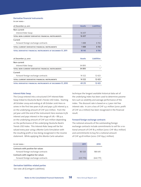### **Derivative financial instruments**

**in chf 1000.–**

| at December 31, 2011                                        | <b>Assets</b> | Liabilities |
|-------------------------------------------------------------|---------------|-------------|
| Non-current                                                 |               |             |
| Interest-Rate Swap                                          | 16 657        |             |
| <b>TOTAL NON-CURRENT DERIVATIVE FINANCIAL INSTRUMENTS</b>   | 16 657        |             |
| Current                                                     |               |             |
| Forward foreign exchange contracts                          | 1488          | 6 15 6      |
| <b>TOTAL CURRENT DERIVATIVE FINANCIAL INSTRUMENTS</b>       | 1488          | 6 15 6      |
| TOTAL DERIVATIVE FINANCIAL INSTRUMENTS AT DECEMBER 31, 2011 | 18 145        | 6 15 6      |

| at December 31, 2010                                        | <b>Assets</b> | <b>Liabilities</b> |
|-------------------------------------------------------------|---------------|--------------------|
| Non-current                                                 |               |                    |
| Interest-Rate Swap                                          | 34 893        |                    |
| TOTAL NON-CURRENT DERIVATIVE FINANCIAL INSTRUMENTS          | 34 893        |                    |
| Current                                                     |               |                    |
| Forward foreign exchange contracts                          | 14 3 2 2      | 12 423             |
| <b>TOTAL CURRENT DERIVATIVE FINANCIAL INSTRUMENTS</b>       | 14 3 2 2      | 12 4 23            |
| TOTAL DERIVATIVE FINANCIAL INSTRUMENTS AT DECEMBER 31, 2010 | 49 215        | 12 423             |

#### **Interest-Rate Swap**

The Group entered into a structured CHF Interest-Rate Swap linked to Deutsche Bank's Trends USD Index. Starting 28 October 2009 and ending at 28 October 2016 Hero receives in the first two years 6.5% and pays 5.5% interest p. a. on the underlying amount of CHF 500 million. From the 3rd year until the end of the instrument Hero receives 6.5% interest and pays interest in the range of 0% – 8% p.a. on the underlying amount of CHF 500 million depending on the performance of the underlying Deutsche Bank's Trends USD Index. This Interest-Rate Swap will be fair valued every year using a Monte-Carlo-Simulation with the resulting profit or loss being recognized in the income statement. While applying this Monte-Carlo valuation

technique the longest available historical data set of the underlying index has been used to determine parameters such as volatility and average performance of the index. The discount rate is based on a 7 year risk free interest rate. In 2011 a loss of CHF 13.2 million (2010: profit of CHF 20.2 million) has been recognized in the financial result.

#### **Forward foreign exchange contracts**

The notional amounts of the outstanding foreign exchange contracts include commitments to sell for a notional amount of CHF 81.3 million (2010: CHF 187.2 million) and commitments to buy for a notional amount of CHF 431.8 million (2010: CHF 654.7 million).

| IN CHE 1000. $-$                    | 2011      | 2010      |
|-------------------------------------|-----------|-----------|
| Contracts with positive fair values |           |           |
| Forward foreign exchange contracts  | 80 320    | 188 645   |
| Contracts with negative fair values |           |           |
| Forward foreign exchange contracts  | (435 770) | (642 771) |

#### **Derivative liabilities related parties**

See note 28 (Contigent Liabilities).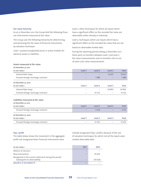### **Fair value hierarchy**

As at 31 December 2011, the Group held the following financial instruments measured at fair value:

The Group uses the following hierarchy for determining and disclosing the fair value of financial instruments by valuation technique:

Level 1: quoted (unadjusted) prices in active markets for identical assets or liabilities.

Level 2: other techniques for which all inputs which have a significant effect on the recorded fair value are observable, either directly or indirectly.

Level 3: techniques which use inputs which have a significant effect on the recorded fair value that are not

based on observable market data.

During the reporting period ending 31 December 2011, there were no transfers between Level 1 and Level 2 fair value measurements, and no transfers into or out of Level 3 fair value measurements.

### **Assets measured at fair value**

**at December 31, 2011**

| in CHF 1000.-                      | Level 1                  | Level 2         | Level 3 | <b>Total</b> |
|------------------------------------|--------------------------|-----------------|---------|--------------|
| Interest-Rate Swap                 |                          |                 | 16 657  | 16 657       |
| Forward foreign exchange contracts |                          | 1488            |         | 1488         |
| at December 31, 2010               |                          |                 |         |              |
| in CHF 1000.-                      | Level 1                  | Level 2         | Level 3 | <b>Total</b> |
| Interest-Rate Swap                 |                          | $\qquad \qquad$ | 34 8 93 | 34 8 93      |
| Forward foreign exchange contracts | $\overline{\phantom{0}}$ | 14 3 2 2        |         | 14 3 2 2     |

#### **Liabilities measured at fair value**

| Level 1                  | Level 3 | <b>Total</b>                             |
|--------------------------|---------|------------------------------------------|
|                          |         | 6 15 6                                   |
|                          |         |                                          |
| Level 1                  | Level 3 | <b>Total</b>                             |
| $\overline{\phantom{m}}$ |         | 12 4 23                                  |
|                          |         | Level 2<br>6 15 6<br>Level 2<br>12 4 2 3 |

### **Day 1 profit**

The table below shows the movement in the aggregate profit not recognized when financial instruments were

 initially recognized ('Day 1 profit'), because of the use of valuation techniques for which not all the inputs were market observable data.

| in CHF 1000.-                                                                        | 2011 | 2010    |
|--------------------------------------------------------------------------------------|------|---------|
| Balance at January 1                                                                 |      |         |
| New transactions                                                                     |      | 10 624  |
| Recognized in the income statement during the period:<br>Subsequent to observability |      | (10624) |
| <b>BALANCE AT DECEMBER 31</b>                                                        |      |         |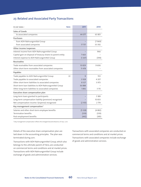## **27. Related and Associated Party Transactions**

| in CHF 1000.-                                                | <b>Note</b> | 2011     | 2010     |
|--------------------------------------------------------------|-------------|----------|----------|
| Sales of Goods                                               |             |          |          |
| to associated companies                                      |             | 44 077   | 63 801   |
| Purchases                                                    |             |          |          |
| from AOH Nahrungsmittel Group                                |             |          | (7969)   |
| from associated companies                                    |             | 17 7 5 7 | 33 3 9 2 |
| Other income / expenses                                      |             |          |          |
| Interest income from AOH Nahrungsmittel Group                |             |          | 966      |
| Capital gain on disposal of treasury shares to parent entity |             | 7663     |          |
| Interest expense to AOH Nahrungsmittel Group                 |             | (1267)   | (394)    |
| <b>Receivables</b>                                           |             |          |          |
| Trade receivables from associated companies                  |             | 10829    | 9606     |
| Other short-term receivables from associated companies       |             | 11 4 7 8 |          |
| Payables                                                     |             |          |          |
| Trade payables to AOH Nahrungsmittel Group                   | 22          | 9        | 553      |
| Trade payables to associated companies                       |             | 3928     | 4 207    |
| Other short-term liabilities to associated companies         |             | 8 3 2 7  | 3 9 7 3  |
| Short-term loan liabilities to AOH Nahrungsmittel Group      |             | 36888    |          |
| Other long-term liabilities to associated companies          |             | 1892     | 3 1 1 5  |
| Executive share compensation plan                            |             |          |          |
| Long-term loans granted to participants                      |             |          | 5 1 8 9  |
| Long-term compensation liability (provision) recognized      |             |          | 10833    |
| Net compensation income / (expense) recognized               |             | (2105)   | 2 7 7 4  |
| Key management compensation <sup>"</sup>                     |             |          |          |
| Salaries and other short-term employee benefits              |             | (5328)   | (4882)   |
| Termination benefits                                         |             | (339)    | (339)    |
| Post-employment benefits                                     |             | (442)    | (385)    |

\*) Key management compensation reflects the enlarged Executive Board as of July 1, 2011.

Details of the executive share compensation plan are laid down in the accounting principles. The plan was terminated during 2011.

Transactions with AOH Nahrungsmittel Group, which also belongs to the ultimate parent of Hero, are conducted on commercial terms and conditions and at market prices. Transactions with AOH Nahrungsmittel Group include exchange of goods and administration services.

Transactions with associated companies are conducted on commercial terms and conditions and at market prices. Transactions with associated companies include exchange of goods and administration services.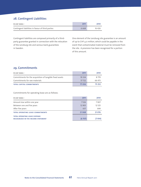## **28. Contingent Liabilities**

| in CHF 1000 .-                                    | 2011    | 2010    |
|---------------------------------------------------|---------|---------|
| Contingent liabilities in favour of third parties | 6 6 6 8 | 16 4 26 |

Contingent liabilities are composed primarily of a thirdparty guarantee granted in connection with the relocation of the Lenzburg site and various bank guarantees in Sweden.

One element of the Lenzburg site guarantee is an amount of up to CHF 4.0 million, which could be payable in the event that contaminated material must be removed from the site. A provision has been recognized for a portion of this amount.

## **29. Commitments**

| in CHF 1000 .-                                           | 2011     | 2010    |
|----------------------------------------------------------|----------|---------|
| Commitments for the acquisition of tangible fixed assets | 19 3 3 4 | 8 7 7 9 |
| Commitments for raw materials                            | 57 722   | 66 473  |
| <b>TOTAL CAPITAL COMMITMENTS</b>                         | 77 056   | 75 252  |

Commitments for operating lease are as follows:

| in CHF 1000.-                                                                     | 2011   | 2010    |
|-----------------------------------------------------------------------------------|--------|---------|
| Amount due within one year                                                        | 7526   | 7907    |
| Between one and five years                                                        | 12 905 | 12 5 25 |
| After five years                                                                  | 637    | 644     |
| <b>TOTAL OPERATING LEASE COMMITMENTS</b>                                          | 21068  | 21 0 76 |
| <b>TOTAL OPERATING LEASE EXPENSE</b><br><b>RECOGNIZED IN THE INCOME STATEMENT</b> | (6707) | (7 934) |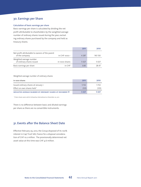## **30. Earnings per Share**

### **Calculation of basic earnings per share**

Basic earnings per share is calculated by dividing the net profit attributable to shareholders by the weighted average number of ordinary shares issued during the year, excluding ordinary shares purchased by the company and held as treasury shares.

|                                                                   |                 | 2011    | 2010    |
|-------------------------------------------------------------------|-----------------|---------|---------|
| Net profit attributable to owners of the parent<br>of the company | in CHF $1000 -$ | 4 2 8 7 | 143 130 |
| Weighted average number<br>of ordinary shares issued              | in 1000 shares  | 5 0 2 7 | 5.027   |
| Basic earnings per share                                          | in CHF          | 0.85    | 28.47   |

#### Weighted average number of ordinary shares

| in 1000 shares                                            | 2011    | 2010    |
|-----------------------------------------------------------|---------|---------|
| Issued ordinary shares at January 1                       | 5 1 5 2 | 5 1 5 2 |
| Effect on own shares held <sup>"</sup>                    | (125)   | (125)   |
| WEIGHTED AVERAGE NUMBER OF ORDINARY SHARES AT DECEMBER 31 | 5027    | 5027    |

\*\*) Own shares were sold to Schwartau International on December 20, 2011.

There is no difference between basic and diluted earnings per share as there are no convertible instruments.

## **31. Events after the Balance Sheet Date**

Effective February 29, 2012, the Group disposed of its 100% interest in Cap' Fruit SAS, France for a disposal consideration of CHF 10.2 million. The provisionally determined net asset value at this time was CHF 4.6 million.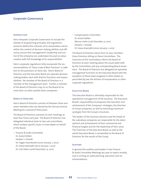## **Corporate Governance**

### **Introduction**

Hero interprets Corporate Governance to include the totality of all governing principles and regulations aimed to defend the interests of its shareholders which, within the context of decision-making abilities and efficiency, ensure that management's leadership and control of the enterprise are undertaken focused on valuecreation with full knowledge of its responsibilities.

Hero's corporate regulations fully incorporate the recommendations of "Swiss Code of Best Practices" in addition to the provisions of Swiss law. Hero's Board of Directors and the Executive Board are separate decisionmaking bodies, each with distinct functions and responsibilities. No member of the Board of Directors is a member of the management team. Further, a member of the Board of Directors may sit on the Board of no more than six other quoted Swiss companies.

### **Board of Directors**

Hero's Board of Directors consists of between three and seven members who are elected by the Annual General Meeting for a period of three years.

The Board of Directors convenes its own meetings at least four times each year. The Board of Directors has delegated individual tasks to two sub-committees, which analyze specific issues in more depth on behalf of the Board:

– Finance & Audit Committee Dr. Arend Oetker Herbert J. Scheidt Dr. Hagen Duenbostel (since January 1, 2012) Dr. Hasso Kaempfe (since January 1, 2012) Dr. Lutz Peters (until December 31, 2011)

– Compensation Committee Dr. Arend Oetker Werner Holm (until Decmber 31, 2011) Herbert J. Scheidt Dr. Hasso Kaempfe (since January 1, 2012)

The Board of Directors elects from its own members those Directors sitting on these Committees. The Chairmen of the Committees inform the Board of Directors at each meeting about the issues dealt with by the Committees and any corresponding Board resolutions. The Board of Directors has delegated all operative management functions to the Executive Board with the exception of those tasks assigned to other bodies as prescribed by law, the Articles of Incorporation or other corporate regulations.

#### **Executive Board**

The Executive Board is ultimately responsible for the operational management of the business. The Executive Board's responsibility encompasses the execution and achievement of the Company's strategies, the direction of Group companies, as well as extracting maximum synergies from the Group's structures.

The leaders of the business divisions and the heads of the subsidiary companies are responsible for the development and achievement of their commercial and financial targets and for the leadership of their areas. The Chairman of the Executive Board, as well as the whole Executive Board, is answerable to the Board of Directors for the results of the Group.

### **AUDITORS**

In general the auditors participate in two Finance & Audit Committee Meetings per year to report verbally and in writing on audit planning, execution and recommendations.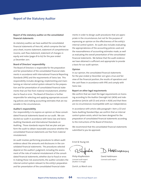## **Report of the Statutory Auditor**

## **Report of the statutory auditor on the consolidated financial statements**

As statutory auditor, we have audited the consolidated financial statements of Hero AG, which comprise the balance sheet, income statement, statement of comprehensive income, cash flow statement, statement of changes in equity and notes (pages 8 to 62) for the year ended 31 December 2011.

#### **Board of Directors' responsibility**

The Board of Directors is responsible for the preparation and fair presentation of the consolidated financial statements in accordance with International Financial Reporting Standards (IFRS) and the requirements of Swiss law. This responsibility includes designing, implementing and maintaining an internal control system relevant to the preparation and fair presentation of consolidated financial statements that are free from material misstatement, whether due to fraud or error. The Board of Directors is further responsible for selecting and applying appropriate accounting policies and making accounting estimates that are reasonable in the circumstances.

#### **Auditor's responsibility**

Our responsibility is to express an opinion on these consolidated financial statements based on our audit. We conducted our audit in accordance with Swiss law and Swiss Auditing Standards and International Standards on Auditing. Those standards require that we plan and perform the audit to obtain reasonable assurance whether the consolidated financial statements are free from material misstatement.

An audit involves performing procedures to obtain audit evidence about the amounts and disclosures in the consolidated financial statements. The procedures selected depend on the auditor's judgment, including the assessment of the risks of material misstatement of the consolidated financial statements, whether due to fraud or error. In making those risk assessments, the auditor considers the internal control system relevant to the entity's preparation and fair presentation of the consolidated financial statements in order to design audit procedures that are appropriate in the circumstances, but not for the purpose of expressing an opinion on the effectiveness of the entity's internal control system. An audit also includes evaluating the appropriateness of the accounting policies used and the reasonableness of accounting estimates made, as well as evaluating the overall presentation of the consolidated financial statements. We believe that the audit evidence we have obtained is sufficient and appropriate to provide a basis for our audit opinion.

#### **Opinion**

In our opinion, the consolidated financial statements for the year ended 31 December 2011 give a true and fair view of the financial position, the results of operations and the cash flows in accordance with IFRS and comply with Swiss law.

### **Report on other legal requirements**

We confirm that we meet the legal requirements on licensing according to the Auditor Oversight Act (AOA) and independence (article 728 CO and article 11 AOA) and that there are no circumstances incompatible with our independence.

In accordance with article 728a paragraph 1 item 3 CO and Swiss Auditing Standard 890, we confirm that an internal control system exists, which has been designed for the preparation of consolidated financial statements according to the instructions of the Board of Directors.

We recommend that the consolidated financial statements submitted to you be approved.

Ernst & Young Ltd.

Philip Klopfenstein David Haldimann Licensed audit expert Licensed audit expert (Auditor in charge)

Zurich, 22 March 2012

Haldimany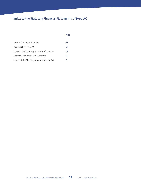## **Index to the Statutory Financial Statements of Hero AG**

# Income Statement Hero AG 66 Balance Sheet Hero AG 67 Notes to the Statutory Accounts of Hero AG 69<br>Appropriation of Available Earnings 70 Appropriation of Available Earnings Report of the Statutory Auditors of Hero AG 71 **Page**

**Index to the Financial Statements of Hero AG** 65 Hero Annual Report 2011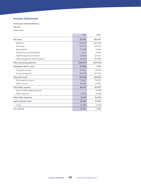## **Income Statement**

**for the year ended December 31 Hero AG**

**in chf 1000.–**

|                                  | 2011      | 2010      |
|----------------------------------|-----------|-----------|
| <b>NET SALES</b>                 | 225 181   | 234 254   |
| Material                         | (132 215) | (141495)  |
| Personnel                        | (37791)   | (46 215)  |
| Depreciation                     | (32768)   | (5801)    |
| Production and distribution      | 4 3 0 1   | 9380      |
| Advertising and promotion        | (23 831)  | (25921)   |
| Sales and general administration | (18313)   | (19098)   |
| <b>Total operating expenses</b>  | (240 617) | (229 150) |
| <b>OPERATING PROFIT/LOSS</b>     | (15436)   | 5 1 0 4   |
| Financial income                 | 70 3 2 6  | 68 718    |
| Financial expense                | (9755)    | (97619)   |
| <b>Financial result</b>          | (27 229)  | (28901)   |
| Participation income             | 35 612    | 14 3 9 7  |
| Other income                     | 50 405    | 31482     |
| Total other income               | 86 017    | 45 879    |
| Loss on fixed assets disposed    |           | (4415)    |
| Other expense                    | (2103)    | (4228)    |
| Total other expenses             | (2103)    | (8643)    |
| <b>PROFIT BEFORE TAXES</b>       | 41 2 4 9  | 13 4 3 9  |
| Taxes                            | (4798)    | (7471)    |
| <b>NET INCOME</b>                | 36 451    | 5968      |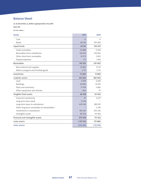# **Balance Sheet**

**as at December 31, before appropriation of profit**

**Hero AG**

**in chf 1000.–**

| <b>Assets</b>                               | 2011     | 2010       |
|---------------------------------------------|----------|------------|
| Cash                                        | 12       | 11         |
| <b>Banks</b>                                | 44 149   | 130 296    |
| Liquid funds                                | 44 161   | 130 307    |
| Trade receivables                           | 23 8 8 8 | 11 10 6    |
| Receivables from subsidiaries               | 156 874  | 219 065    |
| Other short-term receivables                | 16 372   | 3822       |
| Prepaid expenses                            | 371      | 1910       |
| Receivables                                 | 197 505  | 235 903    |
| Raw material and supplies                   | 10883    | 13 151     |
| Work-in-progress and finished goods         | 2 717    | 2 7 3 1    |
| Inventories                                 | 13 600   | 15882      |
| <b>CURRENT ASSETS</b>                       | 255 266  | 382 092    |
| Land                                        | 4749     | 4 2 4 9    |
| <b>Buildings</b>                            | 26896    | 10 455     |
| Plant and machinery                         | 11799    | 5683       |
| Other equipment and vehicles                | 664      | 75         |
| Tangible fixed assets                       | 44 108   | 20 4 6 2   |
| Financial investments                       | 91       | 6 0 71     |
| Long-term loans bank                        | 12 15 8  |            |
| Long-term loans to subsidiaries             | 430 168  | 280 591    |
| Other long-term receivables to shareholders |          | 5 5 7 9    |
| Investments in subsidiaries                 | 441 247  | 305 220    |
| Intangible assets                           | 89 354   | 113 961    |
| Financial and intangible assets             | 973 018  | 711 422    |
| <b>FIXED ASSETS</b>                         | 1017126  | 731884     |
| <b>TOTAL ASSETS</b>                         | 1272392  | 1 113 9 76 |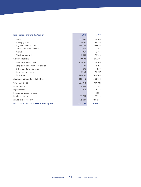| Liabilities and shareholders' equity       | 2011     | 2010       |
|--------------------------------------------|----------|------------|
| <b>Banks</b>                               | 165 656  | 50 000     |
| Trade payables                             | 11 600   | 19 2 3 6   |
| Payables to subsidiaries                   | 166 708  | 181929     |
| Other short-term liabilities               | 10 702   | 2 4 1 6    |
| Accruals                                   | 11 3 6 7 | 8876       |
| Short-term provisions                      | 12 9 7 5 | 12746      |
| <b>Current liabilities</b>                 | 379 008  | 275 203    |
| Long-term bank liabilities                 | 150 000  | 150 000    |
| Long-term loans from subsidiaries          | 9499     | 8 2 6 1    |
| Other long-term liabilities                | 878      | 920        |
| Long-term provisions                       | 7969     | 10 547     |
| Debentures                                 | 550 000  | 500 000    |
| Medium and long-term liabilities           | 718 346  | 669728     |
| <b>TOTAL LIABILITIES</b>                   | 1097354  | 944 931    |
| Share capital                              | 51 51 6  | 51 51 6    |
| Legal reserve                              | 25 7 5 8 | 25 7 58    |
| Reserve for treasury shares                |          | 5980       |
| Retained earnings                          | 97763    | 85792      |
| <b>SHAREHOLDERS' EQUITY</b>                | 175 037  | 169 046    |
| TOTAL LIABILITIES AND SHAREHOLDERS' EQUITY | 1272392  | 1 113 9 76 |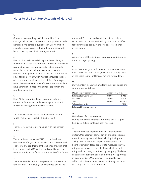## **Notes to the Statutory Accounts of Hero AG**

### **1.**

Guarantees amounting to CHF 107 million (2010: CHF 274 million) exist in favour of third parties. Included here is among others, a guarantee of CHF 78 million given to lenders associated with the promissory note bond issued by Hero Spain in August 2008.

### **2.**

Hero AG is a party to certain legal actions arising in the ordinary course of its business. Provisions have been recorded for such litigation risks based on best estimates. Because judicial process for such cases is complex, management cannot estimate the amount of any additional losses which might be incurred in excess of the amounts provided. In the opinion of management, the ultimate outcome of these situations will not have a material impact on the financial position and results of operations.

### **3.**

Hero AG has committed itself to compensate any current or future asset under-coverage in relation to the senior management pension scheme.

### **4.**

The fire insurance value of tangible assets amounts to CHF 71.2 million (2010: CHF 88.8 million).

### **5.**

There are no payables outstanding with the pension funds.

### **6.**

The bond issued in 2010 of CHF 500 million has a coupon rate of 6.5% and is perpetual and subordinated. The terms and conditions of these bonds are such, that in accordance with IAS 32, the bonds qualify for treatment as equity in the financial statements of the Group.

#### **7.**

The note issued in 2011 of CHF 50 million has a coupon rate of annual Libor plus 5% and is perpetual and subordinated. The terms and conditions of this note are such, that in accordance with IAS 32, the note qualifies for treatment as equity in the financial statements of the Group.

### **8.**

An overview of the significant group companies can be found on pages 72 to 75.

### **9.**

As of December 31, 2011, Schwartau International GmbH, Bad Schwartau, Deutschland, holds 100% (2010: 97.6%) of the share capital of Hero AG ranking for dividends.

### **10.**

Movements in treasury shares for the current period are summarized as follows:

| Movements in treasury shares |         | Number in CHF 1000.- |
|------------------------------|---------|----------------------|
| Balance at January 1, 2011   | 75 000  | 5980                 |
| Additions                    | 50 000  | 13 4 25              |
| Sales                        | 125 000 | (27081)              |
| Value adjustments            |         | 7676                 |
| Balance at December 31, 2011 |         |                      |

#### **11.**

Net release of excess reserves:

During 2011 excess reserves amounting to CHF 3.9 million (2010: 0.8 million) have been released.

### **12.**

The company has implemented a risk management system. Management carries out an annual risk assessment to identify material risks including their probability of occurrence and impact on the group. The board of directors takes appropriate measures to avoid, mitigate or transfer these risks. Risks which are not mitigated are closely monitored by the group. The latest risk assessment by the board of directors was approved in December 2011. Management is entitled to take ad-hoc initiatives in order to ensure a timely response to changes in the risk environment.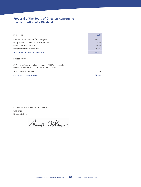## **Proposal of the Board of Directors concerning the distribution of a Dividend**

| in CHF 1000 .-                                                                                                     | 2011   |
|--------------------------------------------------------------------------------------------------------------------|--------|
| Amount carried forward from last year                                                                              | 54 882 |
| Not paid out dividend on treasury shares                                                                           | 450    |
| Reserve for treasury shares                                                                                        | 5980   |
| Net profit for the current year                                                                                    | 36 451 |
| <b>TOTAL AVAILABLE FOR DISTRIBUTION</b>                                                                            | 97 763 |
| DIVIDEND 60%                                                                                                       |        |
| CHF - - on 5'151'600 registered shares of CHF 10 .- par value<br>Dividends on treasury shares will not be paid out |        |

**total dividend payment – balance carried forward 97 763** 

In the name of the Board of Directors: Chairman: Dr. Arend Oetker

And Octher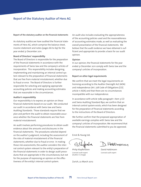## **Report of the Statutory Auditor of Hero AG**

### **Report of the statutory auditor on the financial statements**

As statutory auditor,we have audited the financial statements of Hero AG, which comprise the balance sheet, income statement and notes (pages 66 to 69) for the year ended 31 December 2011.

### **Board of Directors' responsibility**

The Board of Directors is responsible for the preparation of the financial statements in accordance with the requirements of Swiss law and the company's articles of incorporation. This responsibility includes designing, implementing and maintaining an internal control system relevant to the preparation of financial statements that are free from material misstatement, whether due to fraud or error. The Board of Directors is further responsible for selecting and applying appropriate accounting policies and making accounting estimates that are reasonable in the circumstances.

#### **Auditor's responsibility**

Our responsibility is to express an opinion on these financial statements based on our audit. We conducted our audit in accordance with Swiss law and Swiss Auditing Standards. Those standards require that we plan and perform the audit to obtain reasonable assurance whether the financial statements are free from material misstatement.

An audit involves performing procedures to obtain audit evidence about the amounts and disclosures in the financial statements. The procedures selected depend on the auditor's judgment, including the assessment of the risks of material misstatement of the financial statements, whether due to fraud or error. In making those risk assessments, the auditor considers the internal control system relevant to the entity's preparation of the financial statements in order to design audit procedures that are appropriate in the circumstances, but not for the purpose of expressing an opinion on the effectiveness of the entity's internal control system.

An audit also includes evaluating the appropriateness of the accounting policies used and the reasonableness of accounting estimates made, as well as evaluating the overall presentation of the financial statements. We believe that the audit evidence we have obtained is sufficient and appropriate to provide a basis for our audit opinion.

#### **Opinion**

In our opinion, the financial statements for the year ended 31 December 2011 comply with Swiss law and the company's articles of incorporation.

#### **Report on other legal requirements**

We confirm that we meet the legal requirements on licensing according to the Auditor Oversight Act (AOA) and independence (Art. 728 Code of Obligations [CO] article 11 AOA) and that there are no circumstances incompatible with our independence.

In accordance with article 728a paragraph 1 item 3 CO and Swiss Auditing Standard 890, we confirm that an internal control system exists, which has been designed for the preparation of financial statements according to the instructions of the Board of Directors.

We further confirm that the proposed appropriation of available earnings complies with Swiss law and the company's articles of incorporation. We recommend that the financial statements submitted to you be approved.

Ernst & Young Ltd.

Philip Klopfenstein **David Haldimann** Licensed audit expert Licensed audit expert (Auditor in charge)

Zurich, 22 March 2012

Haldimany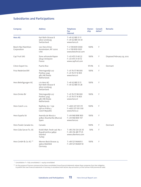## **Subsidiaries and Participations**

| Company                            | <b>Address</b>                                                            | <b>Telephone</b><br>Fax<br>Internet                             | Owner-<br>ship | Consoli-<br>dation* | <b>Remarks</b>             |
|------------------------------------|---------------------------------------------------------------------------|-----------------------------------------------------------------|----------------|---------------------|----------------------------|
| <b>Hero AG</b>                     | Karl Roth-Strasse 8<br>5600 Lenzburg<br>Switzerland                       | T +41 62 885 51 11<br>F +41 62 885 54 30<br>www.hero.ch         |                |                     |                            |
| Beech-Nut Nutrition<br>Corporation | 100 Hero Drive<br>Amsterdam, NY 12010<br><b>USA</b>                       | T +1 518 839 0300<br>F +1 518 839 0301<br>www.beechnut.com      | 100%           | F                   |                            |
| Cap' Fruit SAS                     | Zone artisanale Rapon<br>26140 Anneyron<br>France                         | T +33 475 31 40 22<br>F +33 475 31 59 72<br>www.capfruit.com    | 100%           | F                   | Disposed February 29, 2012 |
| Citron Export Inc.                 | Puerto Rico                                                               |                                                                 | 97.4%          | E                   | Dormant                    |
| Friso Nederland BV                 | Teteringsedijk 227<br>Postbus 3243<br>4817 ME Breda<br>Netherlands        | T+3176 57 98 000<br>F +3176 5714 903<br>www.hero.nl             | 100%           | F                   |                            |
| Hero Beteiligungen AG              | c/o Hero AG<br>Karl Roth-Strasse 8<br>5600 Lenzburg<br>Switzerland        | T +41 62 885 51 11<br>F +41 62 885 55 28                        | 100%           | F                   |                            |
| Hero Drinks BV                     | Teteringsedijk 227<br>Postbus 3243<br>4817 ME Breda<br>Netherlands        | T+3176 57 98 000<br>F +3176 57 14 903<br>www.hero.nl            | 100%           | F                   |                            |
| Hero Czech s.r.o.                  | Radlicka 751 / 113e<br>158 00 Praha 5<br>Czech Republic                   | T +420 227 031 311<br>F+420 227 031 330<br>www.hero.cz          | 100%           | F                   |                            |
| Hero España SA                     | Avenida de Murcia 1<br>30820 Alcantarilla (Murcia)<br>Spain               | T+34 968 898 900<br>F +34 968 800 727<br>www.hero.es            | 100%           | F                   |                            |
| Hero Foods Canada Inc.             | Canada                                                                    |                                                                 | 100%           | F.                  | Dormant                    |
| Hero Gida San.ve Tic. AS           | Kisikli Mah. Ferah cad. No: 1<br>BuyukCamlica 34692<br>Istanbul<br>Turkey | T +90 216 524 26 30<br>F +90 216 481 77 25<br>www.ulkerhero.com | 50%            | F                   |                            |
| Hero GmbH & Co. KG **              | Werner-Bock-Strasse 23<br>33602 Bielefeld<br>Germany                      | T +49 521 96469 0<br>F +49 521 96469 50                         | 100%           | F                   |                            |

\* Consolidation: F = fully consolidated, E = equity consolidated

\*\* For the purpose of German commercial law, these consolidated Group financial statements release these companies from their obligation to publish their own financial statements in Germany, in accordance with Section 264 sub-section 3 of the German HGB (commercial code).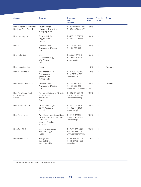| Company                                             | <b>Address</b>                                                                                                                  | <b>Telephone</b><br>Fax<br>Internet                                | Owner-<br>ship | Consoli-<br>dation* | <b>Remarks</b> |
|-----------------------------------------------------|---------------------------------------------------------------------------------------------------------------------------------|--------------------------------------------------------------------|----------------|---------------------|----------------|
| Hero Huishan (Shenyang)<br>Nutrition Food Co., Ltd  | Bajiazi Village,<br>Xiushuihe Town, Faku,<br>Shenyang, China                                                                    | T+86 024 88045977<br>F+86 024 88045977                             | 50%            | F                   |                |
| Hero Hungary Ltd.                                   | Soroksári út 160<br>1095 Budapest<br>Hungary                                                                                    | T +420 227 031 311<br>F+420 227 031 330                            | 100%           | F                   |                |
| Hero Inc.                                           | 100 Hero Drive<br>Amsterdam, NY 12010<br><b>USA</b>                                                                             | T +1 518 839 0300<br>F +1 518 839 0301                             | 100%           | F                   |                |
| Hero Italia SpA                                     | Via Leoni 4<br>Casella Postale 492<br>37121 Verona<br>Italy                                                                     | T+39 045 8060 911<br>F +39 045 8060 900<br>www.hero.it             | 100%           | F                   |                |
| Hero Japan Co., Ltd.                                | Japan                                                                                                                           |                                                                    | 51%            | F                   | Dormant        |
| Hero Nederland BV                                   | Teteringsedijk 227<br>Postbus 3243<br>4817 ME Breda<br>Netherlands                                                              | T+3176 57 98 000<br>F +3176 5714 903<br>www.hero.nl                | 100%           | F                   |                |
| Hero North America LLC                              | 100 Hero Drive<br>Amsterdam, NY 12010<br><b>USA</b>                                                                             | T +1 518 839 0300<br>F +1 518 839 0301<br>www.heronorthamerica.com | 100%           | F                   | Dormant        |
| Hero Nutritional Food<br>Industries SAE<br>(Vitrac) | Plot No. 2/6S, Zone 6, 1st District<br>5 <sup>th</sup> Settlement<br>New Cairo<br>Egypt                                         | T +20 2 275 97 900<br>F +20 2 261 830 86<br>www.hero.com.eg        | 100%           | F                   |                |
| Hero Polska Sp. z o.o.                              | Ul. Pilchowicka 9/11<br>02-175 Warszawa<br>Poland                                                                               | T +48 22 574 23 20<br>F +48 22 574 23 30<br>www.hero.pl            | 100%           | F                   |                |
| Hero Portugal Lda                                   | Avenida das Laranjeiras, No 6a<br>Urbanização da Quinta Grande F +351 21 472 18 88<br>Alfragide<br>2720-333 Amadora<br>Portugal | T +351 21 472 18 80<br>www.hero.pt                                 | 100%           | F                   |                |
| Hero Rus OOO                                        | Kremenchugskaya 9<br>Moscow 121352<br>Russia                                                                                    | T+74959883482<br>F+74959883482<br>www.semper-info.ru               | 100%           | F                   |                |
| Hero Slovakia s.r.o.                                | Murgasova 2<br>949 01 Nitra<br>Slovak Republic                                                                                  | T +421 377 784 005<br>F +421 377 784 006<br>www.hero.cz            | 100%           | F                   |                |

\* Consolidation: F = fully consolidated, E = equity consolidated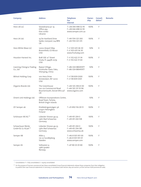| Company                                | <b>Address</b>                                                                   | <b>Telephone</b><br>Fax<br>Internet                             | Owner-<br>ship | Consoli-<br>dation <sup>*</sup> | <b>Remarks</b> |
|----------------------------------------|----------------------------------------------------------------------------------|-----------------------------------------------------------------|----------------|---------------------------------|----------------|
| Hero UA LLC                            | Voziednania pr. 19<br>Office 414<br>Kiev 02160<br>Ukraine                        | T +38 044 498 02 95<br>F +38 044 498 02 95<br>www.semper.com.ua | 100%           | F                               |                |
| Hero UK Ltd.                           | 19 De Havilland Drive<br>Speke, Liverpool, L24 8RN<br>UK                         | T +44 1514 325 300<br>F +44 1514 325 335                        | 100%           | F                               |                |
| Hero White Wave LLC                    | 12002 Airport Way<br>Broomfield, CO 80021<br><b>USA</b>                          | T +1 303 635 46 30<br>F +1 303 635 56 30<br>www.fruit2day.com   | 50%            | Ε                               |                |
| Houston Harvest Inc.                   | 808 S.W. 12 <sup>th</sup> Street<br>Ocala, FL 34478-0279<br>USA                  | T +1 352 622 31 34<br>F+13526223164                             | 100%           | F                               |                |
| Liaoning Chengrui Trading<br>Co., Ltd  | Bajiazi Village,<br>Xiushuihe Town, Faku,<br>Shenyang, China                     | T+86 024 88045977<br>F+86 024 88045977                          | 50%            | F                               |                |
| Milnot Holding Corp.                   | 100 Hero Drive<br>Amsterdam, NY 12010<br><b>USA</b>                              | T +1 518 839 0300<br>F +1 518 839 0301                          | 100%           | F                               |                |
| Organix Brands Ltd.                    | The Greenhouse<br>120-122 Commercial Road<br>Bournemouth, Dorset BH2 5LT<br>UK   | T +44 120 258 61 00<br>F +44 120 231 10 96<br>www.organix.com   | 100%           | F                               |                |
| Orient Link Holdings Ltd.              | Offshore Incorporations Centre,<br>Road Town, Tortola,<br>British Virgin Islands |                                                                 | 50%            | F                               |                |
| OY Semper ab                           | Klubbekrigarevägen 3A<br>00401 Helsingfors<br>Finland                            | T +35 850 516 09 51                                             | 100%           | F                               |                |
| Schönauer IAV AG**                     | Lübecker Strasse 49-55<br>23611 Bad Schwartau<br>Germany                         | T +49 451 204 0<br>F +49 451 204 108                            | 100%           | F                               |                |
| Schwartauer Werke<br>GmbH & Co. KGaA** | Lübecker Strasse 49-55<br>23611 Bad Schwartau<br>Germany                         | T +49 451 204 0<br>F +49 451 204 385<br>www.schwartau.de        | 100%           | F                               |                |
| Semper AB                              | Allén 5<br>172 22 Sundbyberg<br>Sweden                                           | T +46 8 505 931 00<br>F +46 8 505 931 01<br>www.semper.com      | 100%           | F                               |                |
| Semper AS                              | Vollsveien 9<br>1366 Lysaker<br>Norway                                           | T+4780030580                                                    | 100%           | F                               |                |

\* Consolidation: F = fully consolidated, E = equity consolidated

\*\* For the purpose of German commercial law, these consolidated Group financial statements release these companies from their obligation to publish their own financial statements in Germany, in accordance with Section 264 sub-section 3 of the German HGB (commercial code).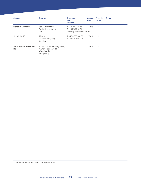| Company                        | <b>Address</b>                                                                  | <b>Telephone</b><br>Fax<br>Internet                                 | Owner-<br>ship | Consoli-<br>dation* | <b>Remarks</b> |
|--------------------------------|---------------------------------------------------------------------------------|---------------------------------------------------------------------|----------------|---------------------|----------------|
| Signature Brands LLC           | 808 S.W. 12 <sup>th</sup> Street<br>Ocala, FL 34478-0279<br><b>USA</b>          | T +1 352 622 31 34<br>F +1 352 622 31 64<br>www.signaturebrands.com | 100%           | F                   |                |
| SP HoldCo AB                   | Allén 5<br>172 22 Sundbyberg<br>Sweden                                          | T +46 8 505 931 00<br>F +46 8 505 931 01                            | 100%           | F                   |                |
| Wealth Come Investments<br>Ltd | Room 1201, Huachuang Tower,<br>No. 303 Hennessy Rd,<br>Wan Chai Rd<br>Hong Kong |                                                                     | 50%            | F                   |                |

\* Consolidation: F = fully consolidated, E = equity consolidated